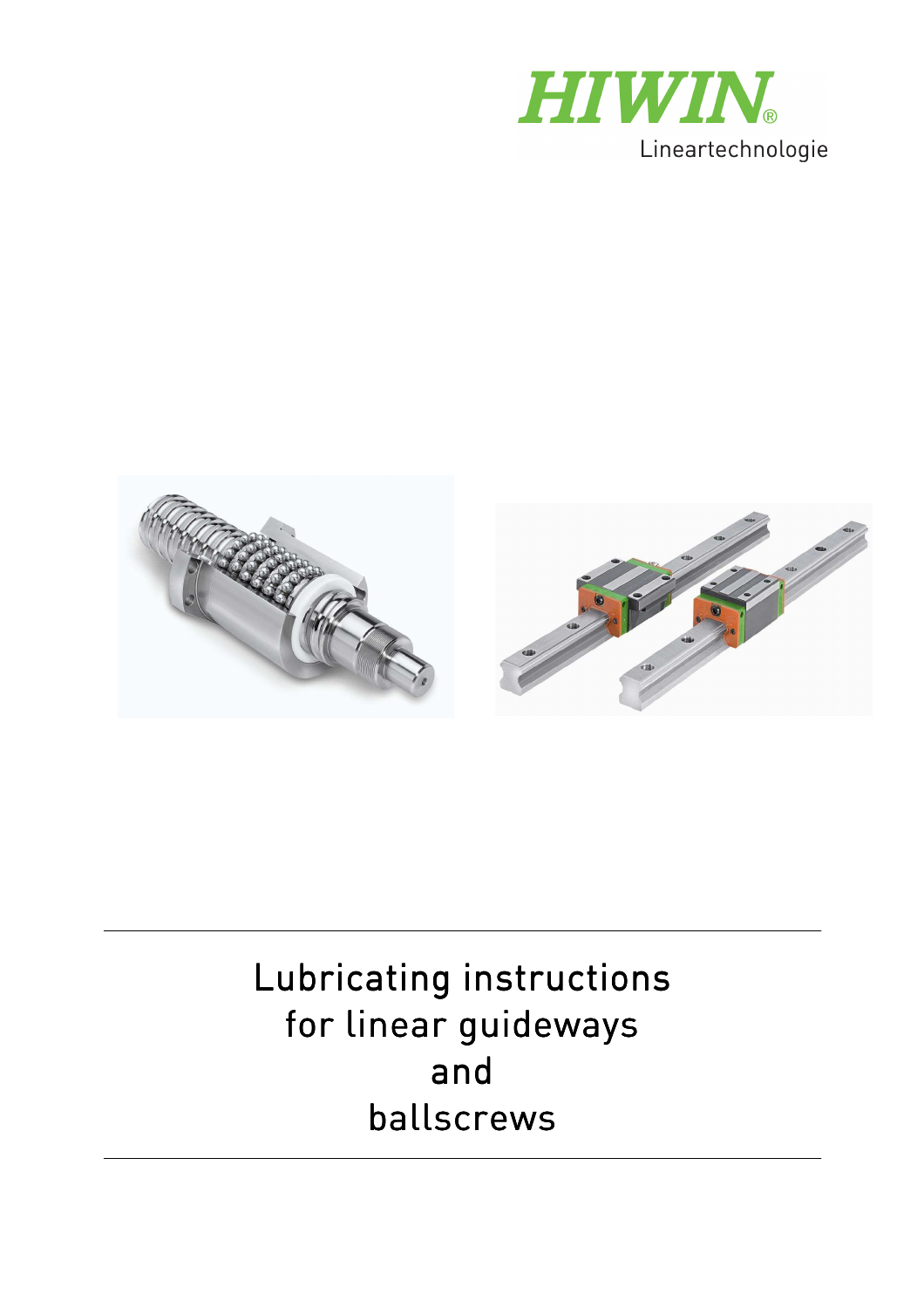



# Lubricating instructions for linear guideways and ballscrews

Ξ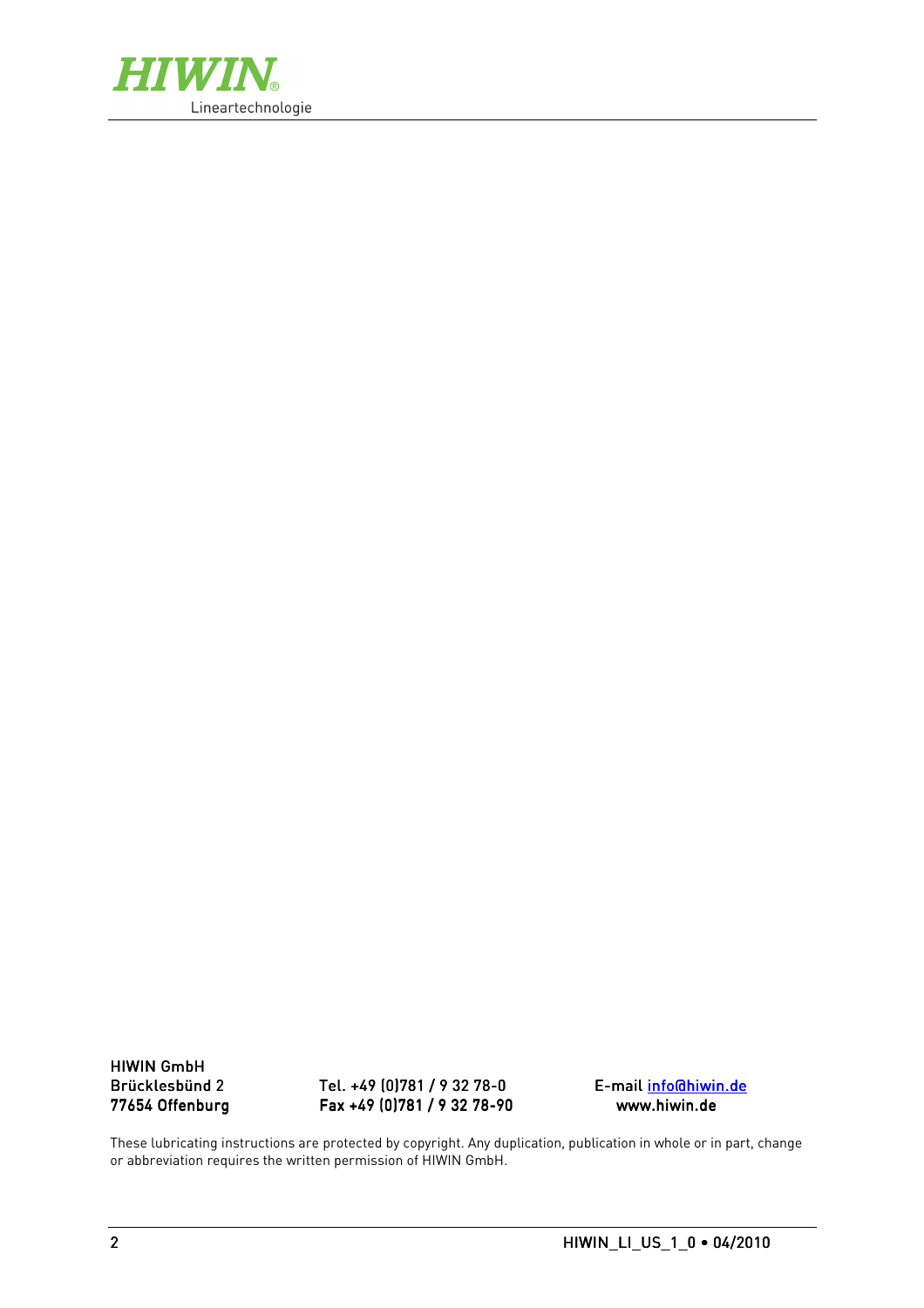

**HIWIN GmbH** 

Brücklesbünd 2 2 Tel. +49 (0)781 / 9 32 78 / 78-0 E-mail info@hiwin.de info@hiwin.de Fax +49 (0)781 / 9 32 78-90

These lubricating instructions are protected by copyright. Any duplication, publication in whole or in part, change or abbreviation requires the written permission of HIWIN GmbH.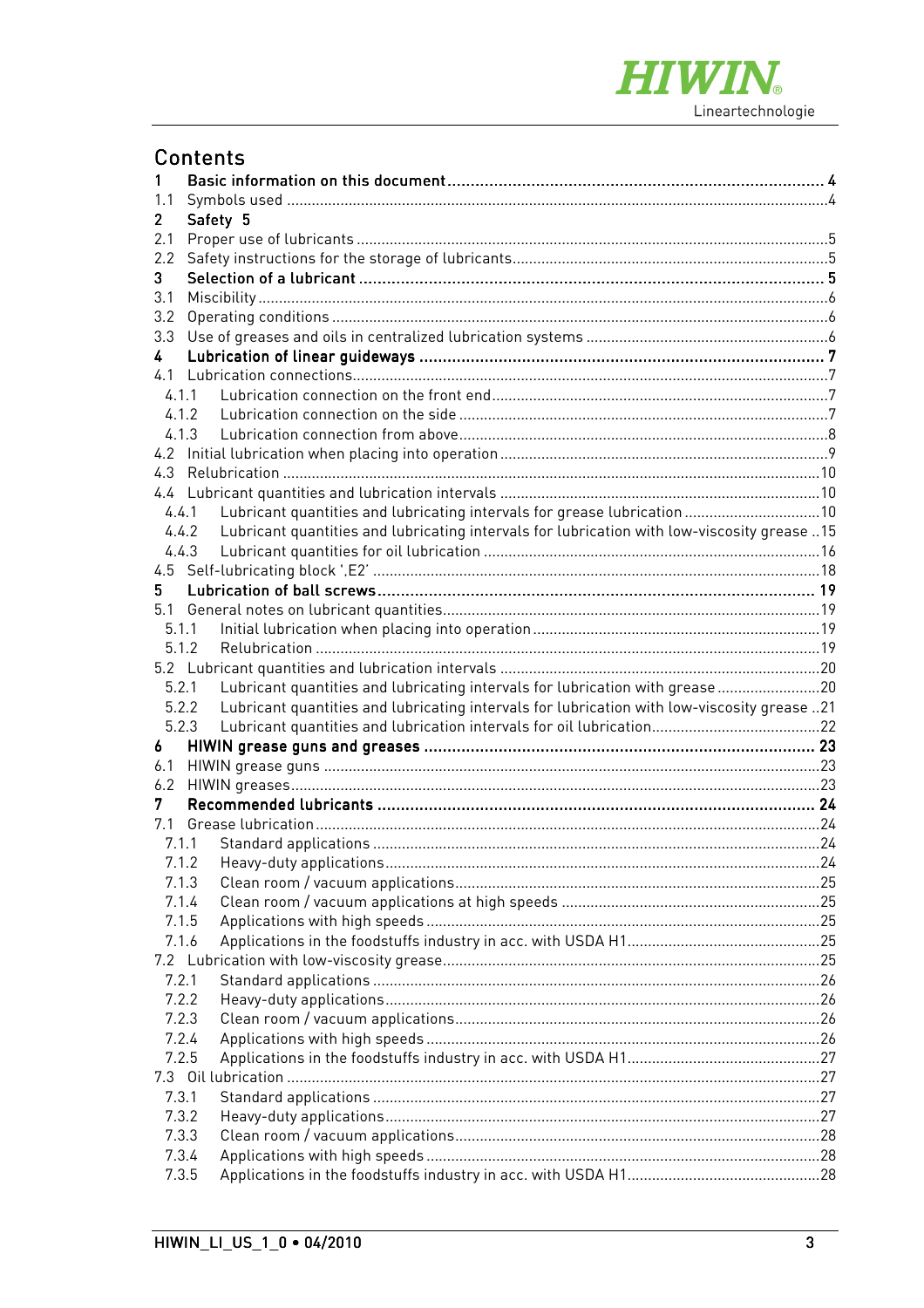

|                  | <b>Contents</b>                                                                                      |  |
|------------------|------------------------------------------------------------------------------------------------------|--|
| 1                |                                                                                                      |  |
|                  |                                                                                                      |  |
| $\mathbf{2}$     | Safety 5                                                                                             |  |
| 2.1              |                                                                                                      |  |
|                  |                                                                                                      |  |
| 3                |                                                                                                      |  |
| 3.1              |                                                                                                      |  |
| 3.2              |                                                                                                      |  |
| 3.3 <sup>°</sup> |                                                                                                      |  |
| 4                |                                                                                                      |  |
|                  |                                                                                                      |  |
|                  | 4.1.1                                                                                                |  |
|                  |                                                                                                      |  |
|                  | 4.1.3                                                                                                |  |
|                  |                                                                                                      |  |
|                  |                                                                                                      |  |
|                  |                                                                                                      |  |
|                  | Lubricant quantities and lubricating intervals for grease lubrication 10<br>4.4.1                    |  |
|                  | Lubricant quantities and lubricating intervals for lubrication with low-viscosity grease 15<br>4.4.2 |  |
|                  | 4.4.3                                                                                                |  |
|                  |                                                                                                      |  |
| 5.               |                                                                                                      |  |
|                  |                                                                                                      |  |
|                  | 5.1.1                                                                                                |  |
|                  | 5.1.2                                                                                                |  |
|                  |                                                                                                      |  |
|                  | Lubricant quantities and lubricating intervals for lubrication with grease20<br>5.2.1                |  |
|                  | Lubricant quantities and lubricating intervals for lubrication with low-viscosity grease 21<br>5.2.2 |  |
|                  | 5.2.3                                                                                                |  |
| 6                |                                                                                                      |  |
|                  |                                                                                                      |  |
|                  |                                                                                                      |  |
| 7                |                                                                                                      |  |
|                  |                                                                                                      |  |
|                  |                                                                                                      |  |
|                  | 7.1.2                                                                                                |  |
|                  | 7.1.3                                                                                                |  |
|                  | 7.1.4                                                                                                |  |
|                  | 7.1.5                                                                                                |  |
| 7.1.6            |                                                                                                      |  |
|                  |                                                                                                      |  |
| 7.2.1            |                                                                                                      |  |
|                  | 7.2.2                                                                                                |  |
|                  | 7.2.3<br>7.2.4                                                                                       |  |
|                  | 7.2.5                                                                                                |  |
|                  |                                                                                                      |  |
|                  |                                                                                                      |  |
| 7.3.1            | 7.3.2                                                                                                |  |
| 7.3.3            |                                                                                                      |  |
|                  | 7.3.4                                                                                                |  |
|                  | 7.3.5                                                                                                |  |
|                  |                                                                                                      |  |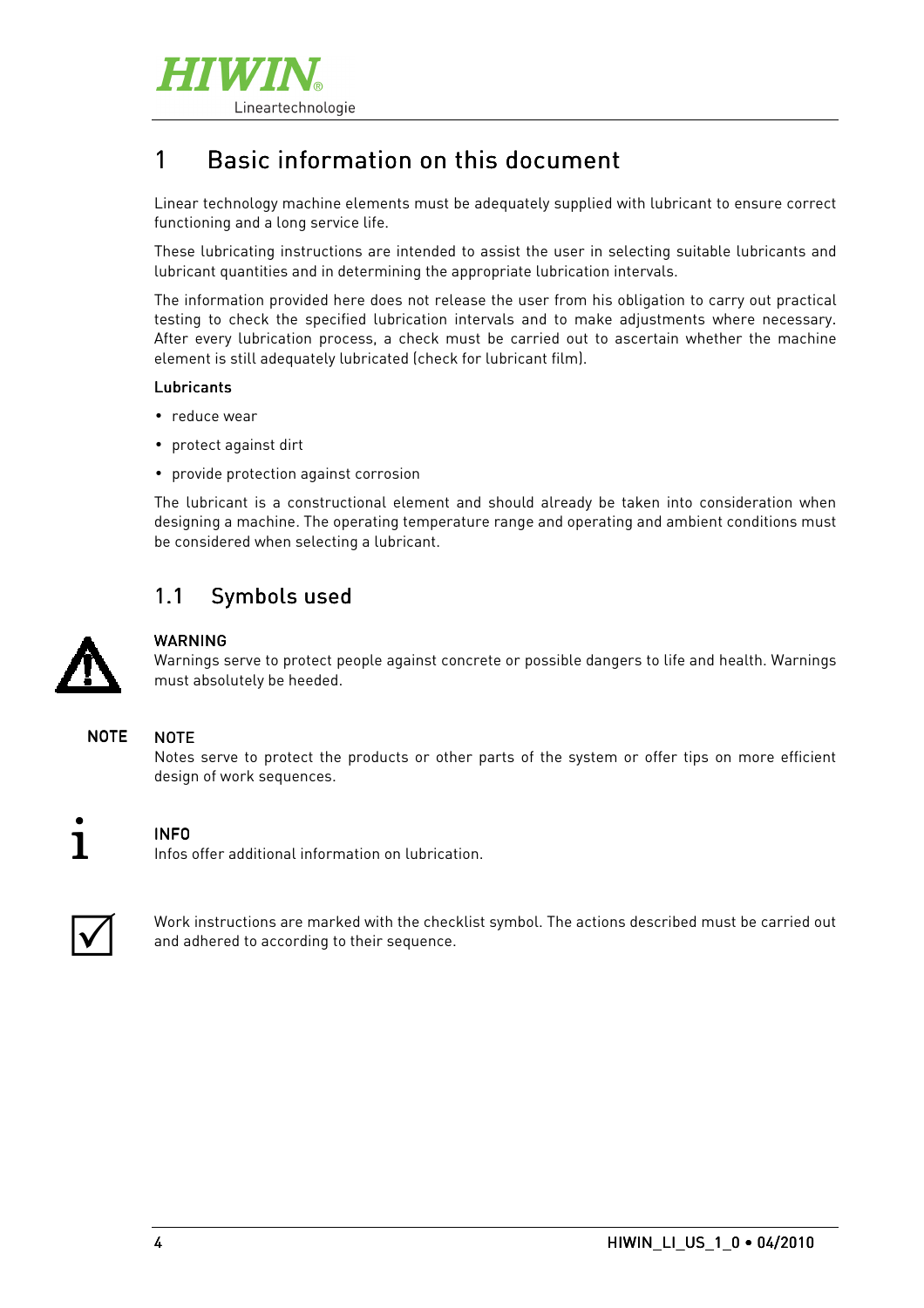

# 1 Basic information on this document

Linear technology machine elements must be adequately supplied with lubricant to ensure correct functioning and a long service life.

These lubricating instructions are intended to assist the user in selecting suitable lubricants and lubricant quantities and in determining the appropriate lubrication intervals.

The information provided here does not release the user from his obligation to carry out practical testing to check the specified lubrication intervals and to make adjustments where necessary. After every lubrication process, a check must be carried out to ascertain whether the machine element is still adequately lubricated (check for lubricant film).

#### Lubricants

- reduce wear
- protect against dirt
- provide protection against corrosion

The lubricant is a constructional element and should already be taken into consideration when designing a machine. The operating temperature range and operating and ambient conditions must be considered when selecting a lubricant.

## 1.1 Symbols used



#### **WARNING**

Warnings serve to protect people against concrete or possible dangers to life and health. Warnings must absolutely be heeded.

#### NOTE **NOTE**

Notes serve to protect the products or other parts of the system or offer tips on more efficient design of work sequences.



#### INFO

Infos offer additional information on lubrication.



Work instructions are marked with the checklist symbol. The actions described must be carried out and adhered to according to their sequence.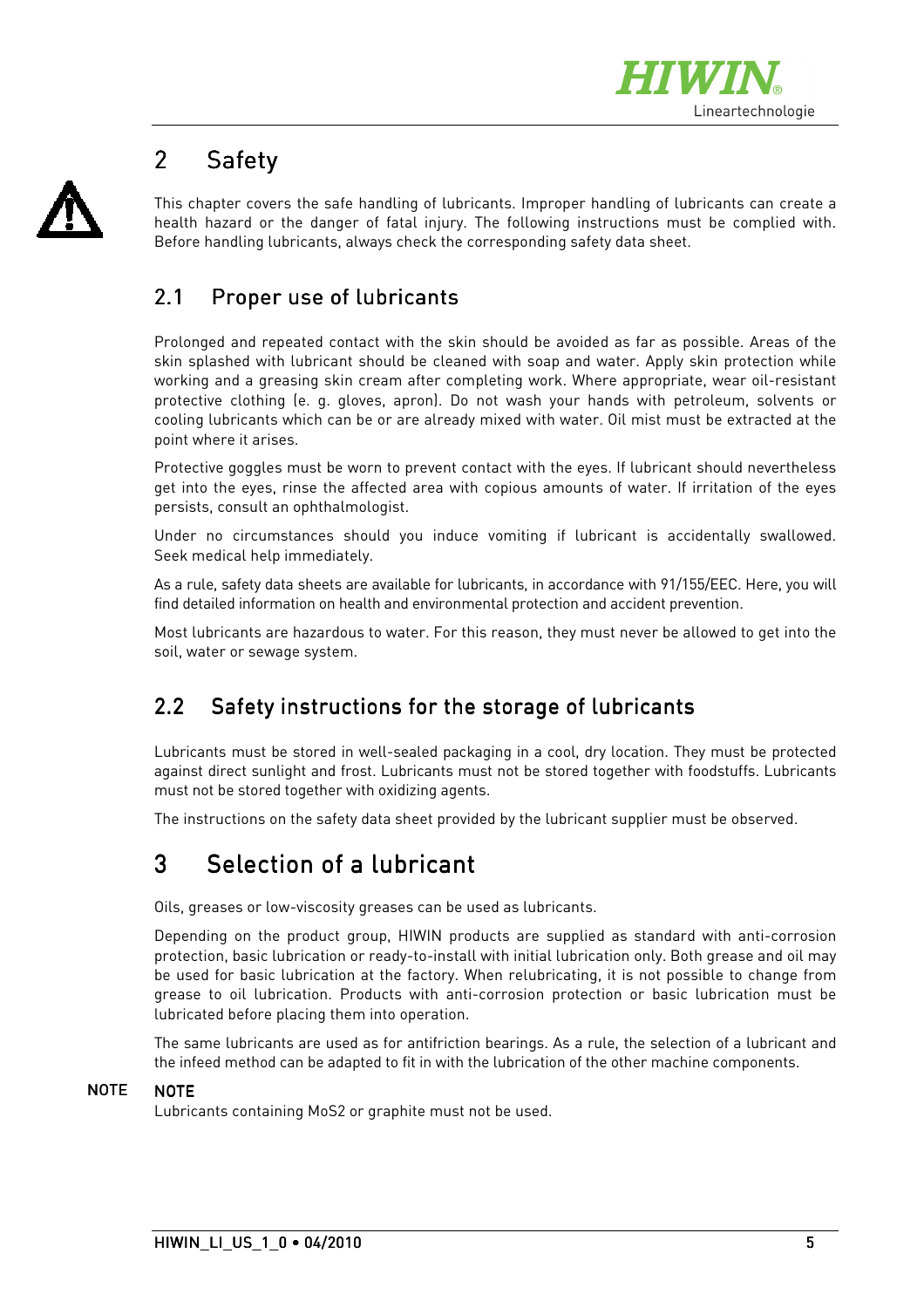

# 2 Safety

This chapter covers the safe handling of lubricants. Improper handling of lubricants can create a health hazard or the danger of fatal injury. The following instructions must be complied with. Before handling lubricants, always check the corresponding safety data sheet.

# 2.1 Proper use of lubricants

Prolonged and repeated contact with the skin should be avoided as far as possible. Areas of the skin splashed with lubricant should be cleaned with soap and water. Apply skin protection while working and a greasing skin cream after completing work. Where appropriate, wear oil-resistant protective clothing (e. g. gloves, apron). Do not wash your hands with petroleum, solvents or cooling lubricants which can be or are already mixed with water. Oil mist must be extracted at the point where it arises.

Protective goggles must be worn to prevent contact with the eyes. If lubricant should nevertheless get into the eyes, rinse the affected area with copious amounts of water. If irritation of the eyes persists, consult an ophthalmologist.

Under no circumstances should you induce vomiting if lubricant is accidentally swallowed. Seek medical help immediately.

As a rule, safety data sheets are available for lubricants, in accordance with 91/155/EEC. Here, you will find detailed information on health and environmental protection and accident prevention.

Most lubricants are hazardous to water. For this reason, they must never be allowed to get into the soil, water or sewage system.

## 2.2 Safety instructions for the storage of lubricants

Lubricants must be stored in well-sealed packaging in a cool, dry location. They must be protected against direct sunlight and frost. Lubricants must not be stored together with foodstuffs. Lubricants must not be stored together with oxidizing agents.

The instructions on the safety data sheet provided by the lubricant supplier must be observed.

# 3 Selection of a lubricant

Oils, greases or low-viscosity greases can be used as lubricants.

Depending on the product group, HIWIN products are supplied as standard with anti-corrosion protection, basic lubrication or ready-to-install with initial lubrication only. Both grease and oil may be used for basic lubrication at the factory. When relubricating, it is not possible to change from grease to oil lubrication. Products with anti-corrosion protection or basic lubrication must be lubricated before placing them into operation.

The same lubricants are used as for antifriction bearings. As a rule, the selection of a lubricant and the infeed method can be adapted to fit in with the lubrication of the other machine components.

#### NOTE **NOTE**

Lubricants containing MoS2 or graphite must not be used.

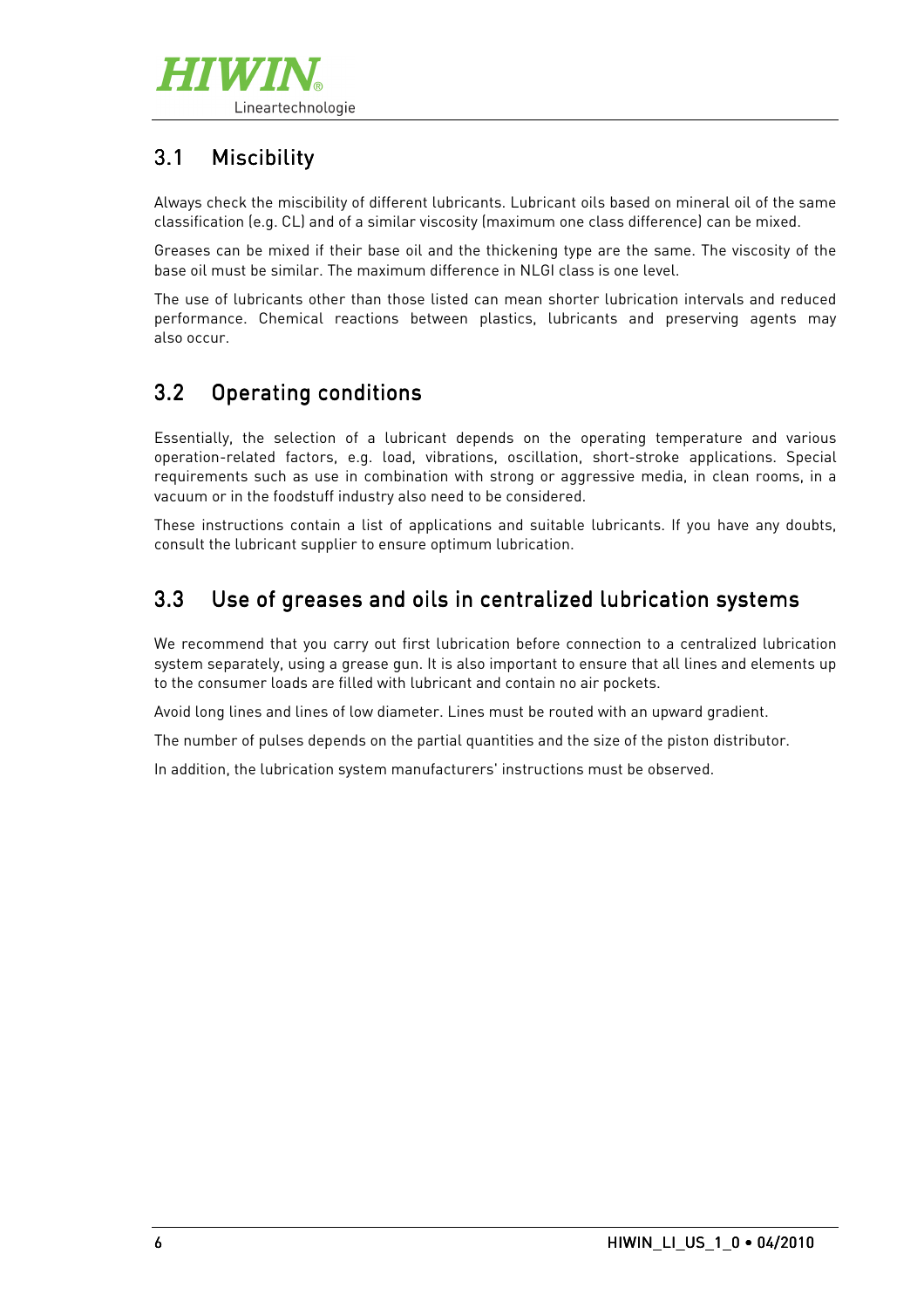

# 3.1 Miscibility

Always check the miscibility of different lubricants. Lubricant oils based on mineral oil of the same classification (e.g. CL) and of a similar viscosity (maximum one class difference) can be mixed.

Greases can be mixed if their base oil and the thickening type are the same. The viscosity of the base oil must be similar. The maximum difference in NLGI class is one level.

The use of lubricants other than those listed can mean shorter lubrication intervals and reduced performance. Chemical reactions between plastics, lubricants and preserving agents may also occur.

## 3.2 Operating conditions

Essentially, the selection of a lubricant depends on the operating temperature and various operation-related factors, e.g. load, vibrations, oscillation, short-stroke applications. Special requirements such as use in combination with strong or aggressive media, in clean rooms, in a vacuum or in the foodstuff industry also need to be considered.

These instructions contain a list of applications and suitable lubricants. If you have any doubts, consult the lubricant supplier to ensure optimum lubrication.

# 3.3 Use of greases and oils in centralized lubrication systems

We recommend that you carry out first lubrication before connection to a centralized lubrication system separately, using a grease gun. It is also important to ensure that all lines and elements up to the consumer loads are filled with lubricant and contain no air pockets.

Avoid long lines and lines of low diameter. Lines must be routed with an upward gradient.

The number of pulses depends on the partial quantities and the size of the piston distributor.

In addition, the lubrication system manufacturers' instructions must be observed.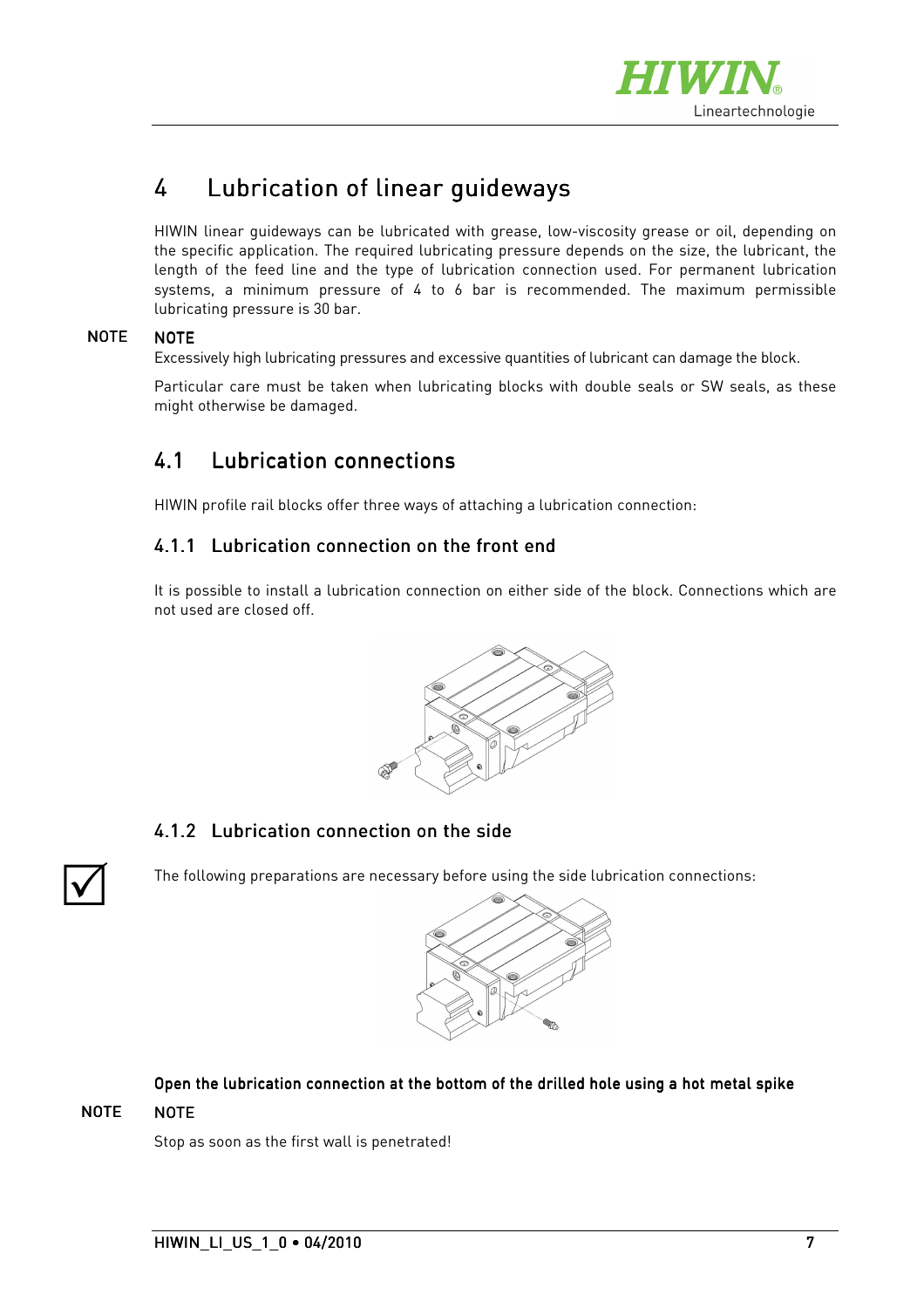

# 4 Lubrication of linear guideways

HIWIN linear guideways can be lubricated with grease, low-viscosity grease or oil, depending on the specific application. The required lubricating pressure depends on the size, the lubricant, the length of the feed line and the type of lubrication connection used. For permanent lubrication systems, a minimum pressure of 4 to 6 bar is recommended. The maximum permissible lubricating pressure is 30 bar.

#### **NOTE NOTE**

Excessively high lubricating pressures and excessive quantities of lubricant can damage the block.

Particular care must be taken when lubricating blocks with double seals or SW seals, as these might otherwise be damaged.

## 4.1 Lubrication connections

HIWIN profile rail blocks offer three ways of attaching a lubrication connection:

#### 4.1.1 Lubrication connection on the front end

It is possible to install a lubrication connection on either side of the block. Connections which are not used are closed off.



#### 4.1.2 Lubrication connection on the side



The following preparations are necessary before using the side lubrication connections:



#### Open the lubrication connection at the bottom of the drilled hole using a hot metal spike

#### NOTE NOTE

Stop as soon as the first wall is penetrated!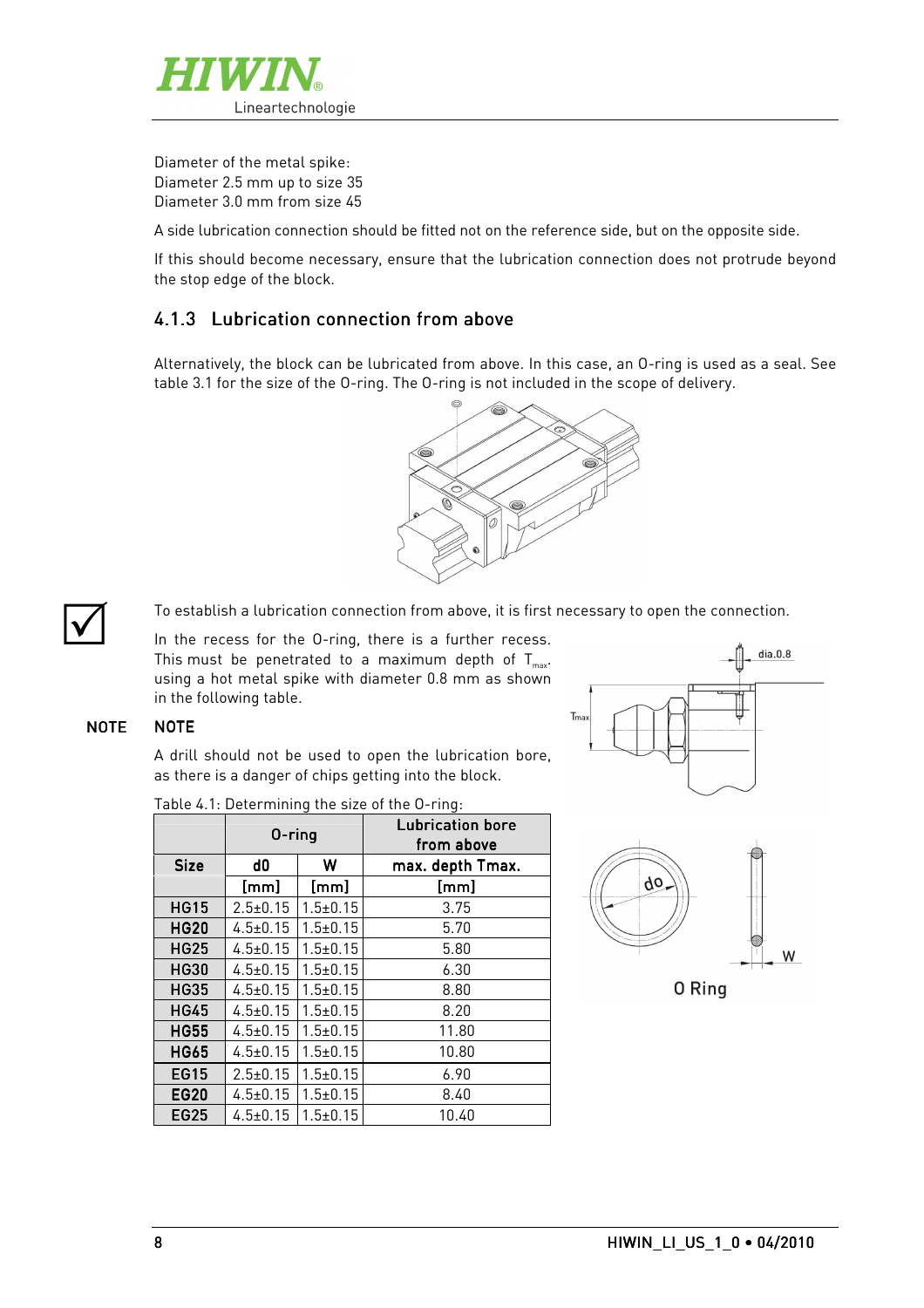

Diameter of the metal spike: Diameter 2.5 mm up to size 35 Diameter 3.0 mm from size 45

A side lubrication connection should be fitted not on the reference side, but on the opposite side.

If this should become necessary, ensure that the lubrication connection does not protrude beyond the stop edge of the block.

#### $4.1.3$  Lubrication connection from above

Alternatively, the block can be lubricated from above. In this case, an O-ring is used as a seal. See table 3.1 for the size of the O-ring. The O-ring is not included in the scope of delivery.



 $\overline{\bigvee}$ 

To establish a lubrication connection from above, it is first necessary to open the connection.

In the recess for the O-ring, there is a further recess. This must be penetrated to a maximum depth of  $T_{\scriptscriptstyle \sf max}$ . using a hot metal spike with diameter 0.8 mm as shown in the following table.

#### NOTE NOTE

A drill should not be used to open the lubrication bore, as there is a danger of chips getting into the block.

|                               | $0$ -ring      |              | <b>Lubrication bore</b><br>from above |
|-------------------------------|----------------|--------------|---------------------------------------|
| <b>Size</b>                   | d0             | W            | max. depth Tmax.                      |
|                               | [mm]           | [mm]         | [mm]                                  |
| <b>HG15</b>                   | $2.5 \pm 0.15$ | $1.5 + 0.15$ | 3.75                                  |
| <b>HG20</b>                   | $4.5 \pm 0.15$ | $1.5 + 0.15$ | 5.70                                  |
| HG25                          | $4.5 \pm 0.15$ | $1.5 + 0.15$ | 5.80                                  |
| <b>HG30</b>                   | $4.5 \pm 0.15$ | $1.5 + 0.15$ | 6.30                                  |
| <b>HG35</b>                   | $4.5 \pm 0.15$ | $1.5 + 0.15$ | 8.80                                  |
| <b>HG45</b>                   | $4.5 \pm 0.15$ | $1.5 + 0.15$ | 8.20                                  |
| <b>HG55</b>                   | $4.5 \pm 0.15$ | $1.5 + 0.15$ | 11.80                                 |
| $4.5 \pm 0.15$<br><b>HG65</b> |                | $1.5 + 0.15$ | 10.80                                 |
| EG15                          | $2.5 \pm 0.15$ | $1.5 + 0.15$ | 6.90                                  |
| <b>EG20</b>                   | $4.5 \pm 0.15$ | $1.5 + 0.15$ | 8.40                                  |
| EG25                          | $4.5 \pm 0.15$ | $1.5 + 0.15$ | 10.40                                 |

Table 4.1: Determining the size of the O-ring:





0 Ring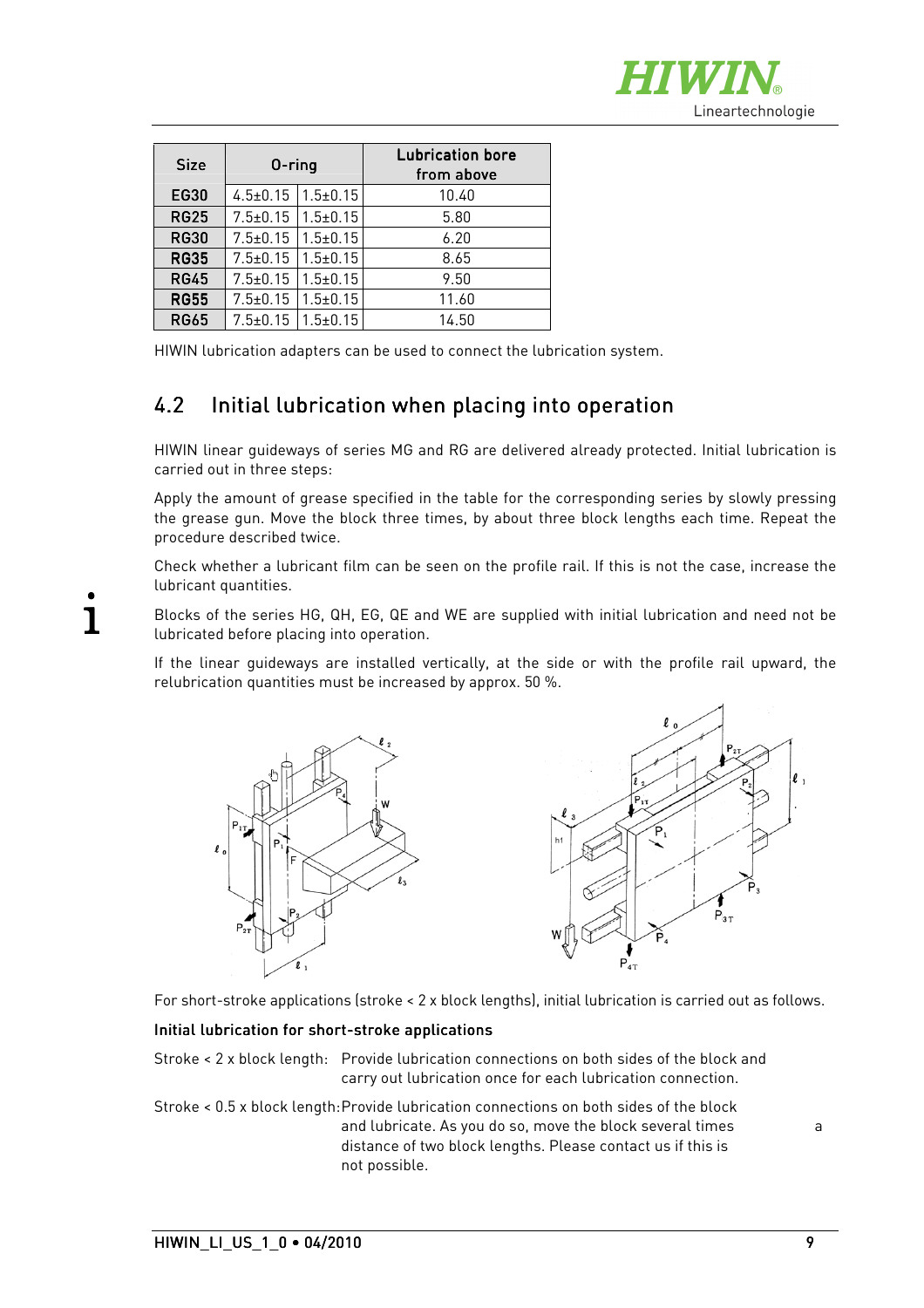

| <b>Size</b> | $0$ -ring                       |                                 | Lubrication bore<br>from above |
|-------------|---------------------------------|---------------------------------|--------------------------------|
| <b>EG30</b> | $4.5 \pm 0.15$   1.5 $\pm$ 0.15 |                                 | 10.40                          |
| <b>RG25</b> |                                 | $7.5 \pm 0.15$   1.5 $\pm$ 0.15 | 5.80                           |
| <b>RG30</b> | $7.5 \pm 0.15$                  | $1.5 \pm 0.15$                  | 6.20                           |
| <b>RG35</b> | $7.5 \pm 0.15$                  | $1.5 + 0.15$                    | 8.65                           |
| <b>RG45</b> | $7.5 \pm 0.15$                  | $1.5 \pm 0.15$                  | 9.50                           |
| <b>RG55</b> | $1.5 + 0.15$<br>$7.5 \pm 0.15$  |                                 | 11.60                          |
| <b>RG65</b> | $7.5 \pm 0.15$                  | $1.5 + 0.15$                    | 14.50                          |

HIWIN lubrication adapters can be used to connect the lubrication system.

## 4.2 Initial lubrication when placing into operation

HIWIN linear guideways of series MG and RG are delivered already protected. Initial lubrication is carried out in three steps:

Apply the amount of grease specified in the table for the corresponding series by slowly pressing the grease gun. Move the block three times, by about three block lengths each time. Repeat the procedure described twice.

Check whether a lubricant film can be seen on the profile rail. If this is not the case, increase the lubricant quantities.

Blocks of the series HG, QH, EG, QE and WE are supplied with initial lubrication and need not be lubricated before placing into operation.

If the linear guideways are installed vertically, at the side or with the profile rail upward, the relubrication quantities must be increased by approx. 50 %.





For short-stroke applications (stroke < 2 x block lengths), initial lubrication is carried out as follows.

#### Initial lubrication for short-stroke applications

Stroke < 2 x block length: Provide lubrication connections on both sides of the block and carry out lubrication once for each lubrication connection.

Stroke < 0.5 x block length: Provide lubrication connections on both sides of the block and lubricate. As you do so, move the block several times a distance of two block lengths. Please contact us if this is not possible.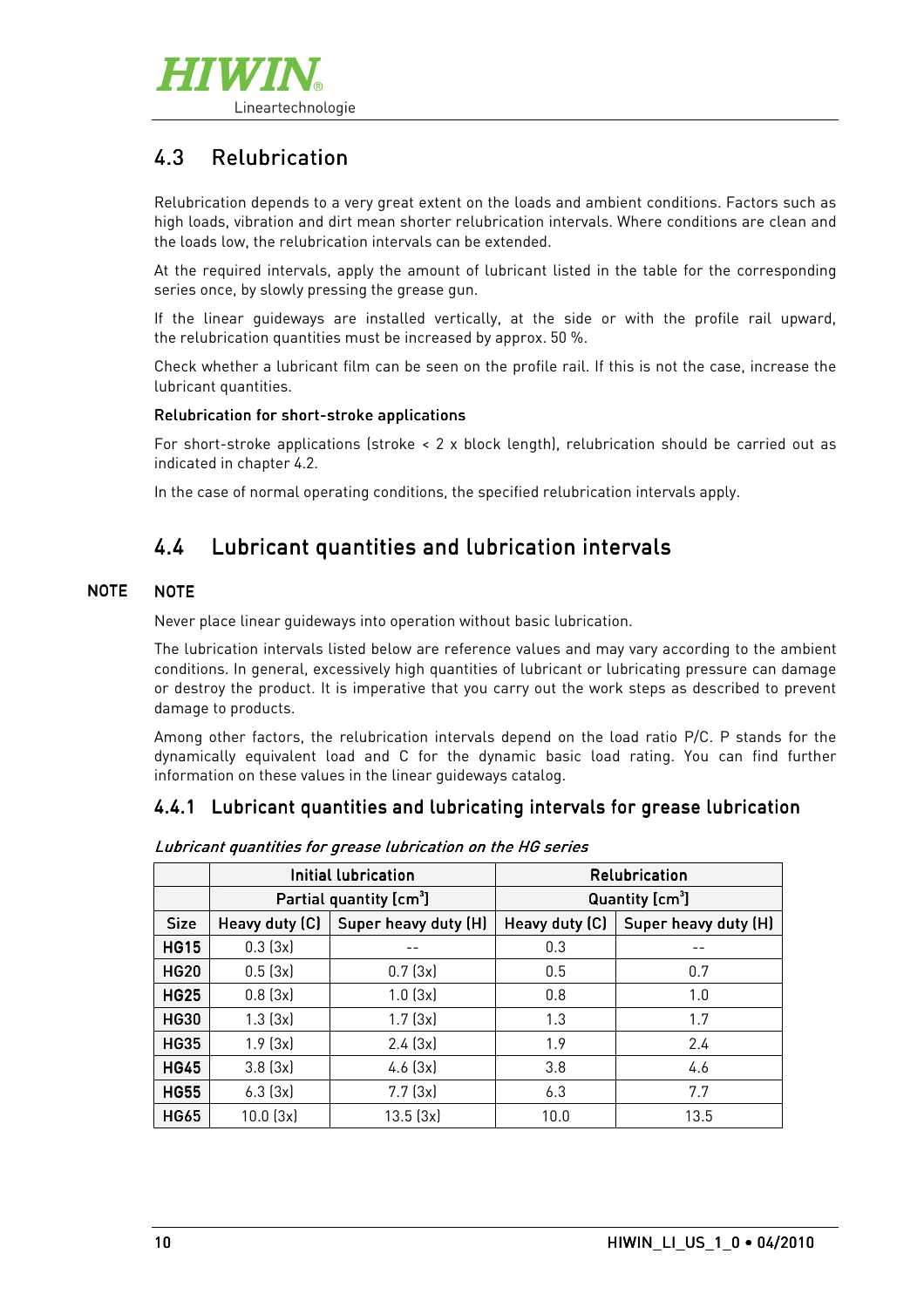

# 4.3 Relubrication

Relubrication depends to a very great extent on the loads and ambient conditions. Factors such as high loads, vibration and dirt mean shorter relubrication intervals. Where conditions are clean and the loads low, the relubrication intervals can be extended.

At the required intervals, apply the amount of lubricant listed in the table for the corresponding series once, by slowly pressing the grease gun.

If the linear guideways are installed vertically, at the side or with the profile rail upward, the relubrication quantities must be increased by approx. 50 %.

Check whether a lubricant film can be seen on the profile rail. If this is not the case, increase the lubricant quantities.

#### Relubrication for short-stroke applications

For short-stroke applications (stroke < 2 x block length), relubrication should be carried out as indicated in chapter 4.2.

In the case of normal operating conditions, the specified relubrication intervals apply.

## 4.4 Lubricant quantities and lubrication intervals

#### **NOTE NOTE**

Never place linear guideways into operation without basic lubrication.

The lubrication intervals listed below are reference values and may vary according to the ambient conditions. In general, excessively high quantities of lubricant or lubricating pressure can damage or destroy the product. It is imperative that you carry out the work steps as described to prevent damage to products.

Among other factors, the relubrication intervals depend on the load ratio P/C. P stands for the dynamically equivalent load and C for the dynamic basic load rating. You can find further information on these values in the linear guideways catalog.

### 4.4.1 Lubricant quantities and lubricating intervals for grease lubrication

|             |                           | Initial lubrication                 |                             | <b>Relubrication</b> |  |
|-------------|---------------------------|-------------------------------------|-----------------------------|----------------------|--|
|             |                           | Partial quantity [cm <sup>3</sup> ] | Quantity [cm <sup>3</sup> ] |                      |  |
| <b>Size</b> | Heavy duty (C)            | Super heavy duty (H)                | Heavy duty (C)              | Super heavy duty (H) |  |
| <b>HG15</b> | 0.3(3x)                   |                                     | 0.3                         |                      |  |
| <b>HG20</b> | 0.5(3x)                   | 0.7(3x)                             | 0.5                         | 0.7                  |  |
| <b>HG25</b> | 0.8(3x)                   | 1.0(3x)                             | 0.8                         | 1.0                  |  |
| <b>HG30</b> | 1.3(3x)                   | 1.7(3x)                             | 1.3                         | 1.7                  |  |
| <b>HG35</b> | 1.9(3x)                   | 2.4(3x)                             | 1.9                         | 2.4                  |  |
| <b>HG45</b> | 3.8(3x)<br>$4.6$ ( $3x$ ) |                                     | 3.8                         | 4.6                  |  |
| <b>HG55</b> | $6.3$ $(3x)$              | 7.7(3x)                             | 6.3                         | 7.7                  |  |
| <b>HG65</b> | $10.0$ $(3x)$             | 13.5(3x)                            | 10.0                        | 13.5                 |  |

Lubricant quantities for grease lubrication on the HG series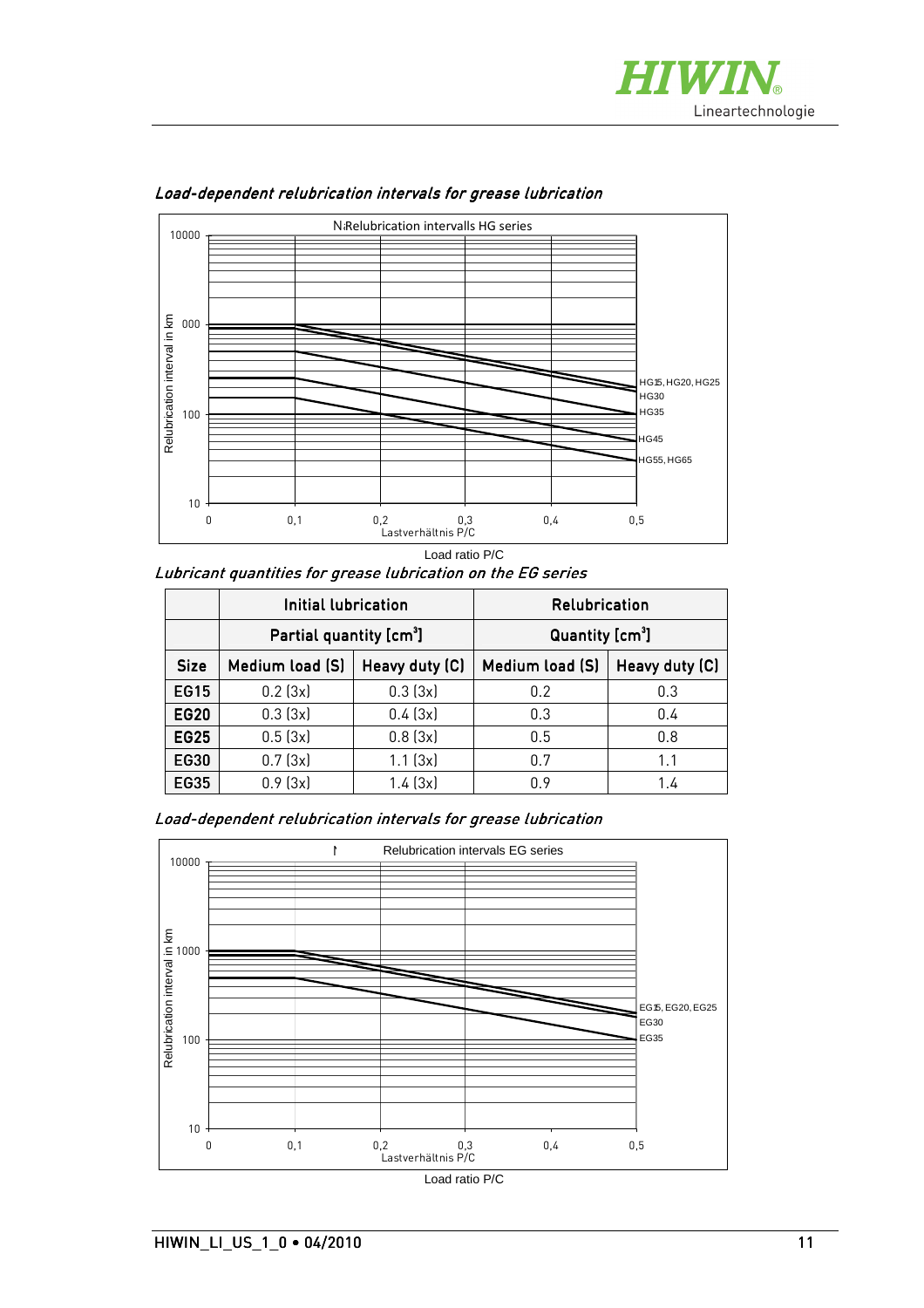



Load-dependent relubrication intervals for grease lubrication

Load ratio P/C

Lubricant quantities for grease lubrication on the EG series

|             | Initial lubrication                 |         | <b>Relubrication</b>        |                |
|-------------|-------------------------------------|---------|-----------------------------|----------------|
|             | Partial quantity [cm <sup>3</sup> ] |         | Quantity [cm <sup>3</sup> ] |                |
| <b>Size</b> | Heavy duty (C)<br>Medium load (S)   |         | Medium load (S)             | Heavy duty (C) |
| <b>EG15</b> | $0.2$ (3x)                          | 0.3(3x) | 0.2                         | 0.3            |
| <b>EG20</b> | 0.3(3x)                             | 0.4(3x) | 0.3<br>0.4                  |                |
| EG25        | 0.5(3x)                             | 0.8(3x) | 0.8<br>0.5                  |                |
| EG30        | 0.7(3x)                             | 1.1(3x) | 0.7<br>1.1                  |                |
| <b>EG35</b> | 0.9(3x)                             | 1.4(3x) | 0.9                         | 1.4            |

Load-dependent relubrication intervals for grease lubrication

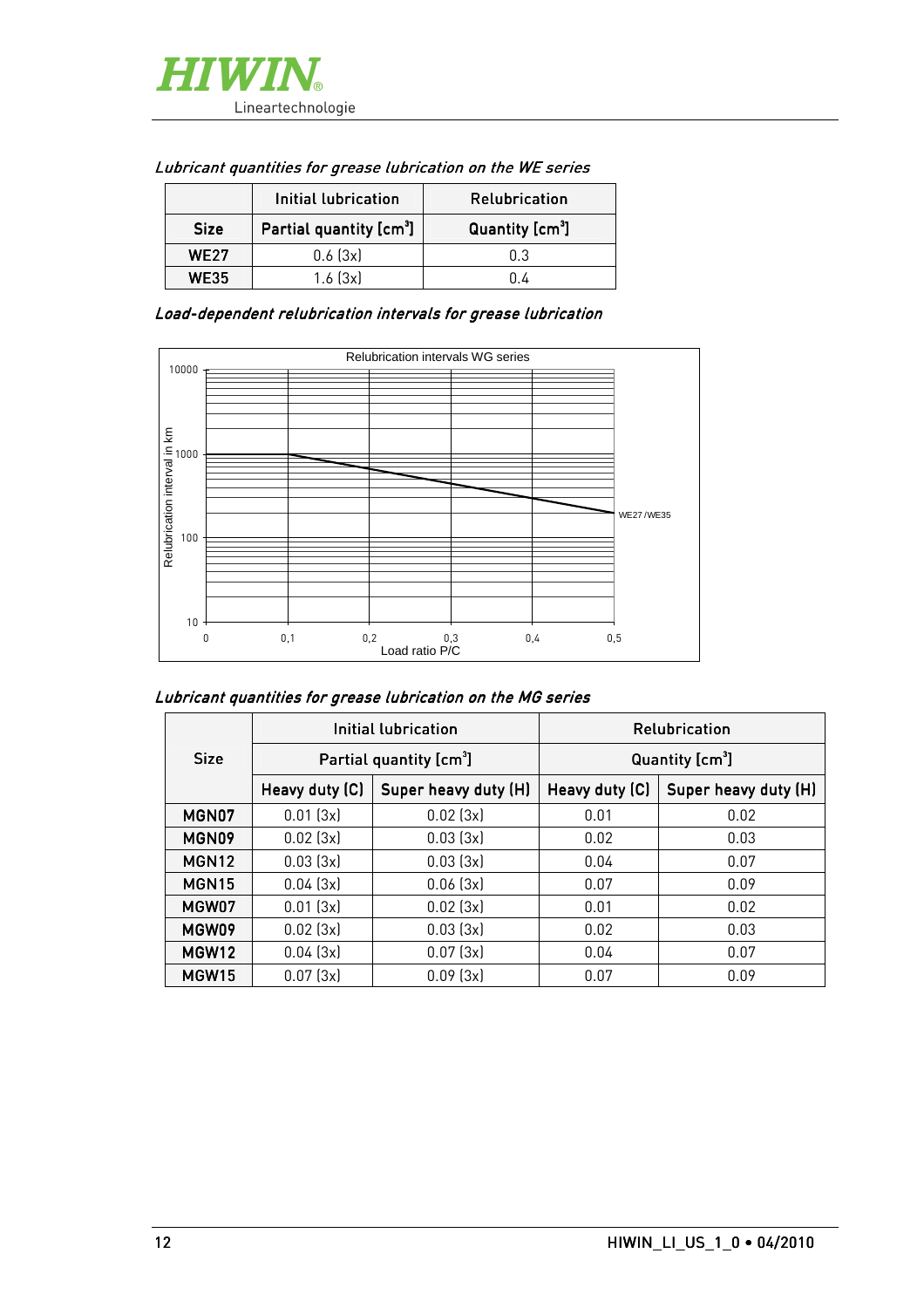| Initial lubrication |                                     | <b>Relubrication</b>        |  |
|---------------------|-------------------------------------|-----------------------------|--|
| <b>Size</b>         | Partial quantity [cm <sup>3</sup> ] | Quantity [cm <sup>3</sup> ] |  |
| <b>WF27</b>         | 0.6(3x)                             | በ 3                         |  |
| <b>WE35</b>         | $1.6$ $(3x)$                        |                             |  |

#### Lubricant quantities for grease lubrication on the WE series

Load-dependent relubrication intervals for grease lubrication



#### Lubricant quantities for grease lubrication on the MG series

|                   |                                     | Initial lubrication  |                             | <b>Relubrication</b> |  |
|-------------------|-------------------------------------|----------------------|-----------------------------|----------------------|--|
| <b>Size</b>       | Partial quantity [cm <sup>3</sup> ] |                      | Quantity [cm <sup>3</sup> ] |                      |  |
|                   | Heavy duty (C)                      | Super heavy duty (H) | Heavy duty (C)              | Super heavy duty (H) |  |
| MGN07             | 0.01(3x)                            | 0.02(3x)             | 0.01                        | 0.02                 |  |
| MGN09             | 0.02(3x)                            | 0.03(3x)             | 0.02                        | 0.03                 |  |
| MGN <sub>12</sub> | 0.03(3x)                            | 0.03(3x)             | 0.04                        | 0.07                 |  |
| MGN <sub>15</sub> | 0.04(3x)                            | 0.06(3x)             | 0.07                        | 0.09                 |  |
| MGW07             | 0.01(3x)                            | 0.02(3x)             | 0.01                        | 0.02                 |  |
| MGW09             | 0.02(3x)                            | 0.03(3x)             | 0.02                        | 0.03                 |  |
| MGW12             | 0.04(3x)                            | 0.07(3x)             | 0.04                        | 0.07                 |  |
| MGW <sub>15</sub> | 0.07(3x)                            | 0.09(3x)             | 0.07                        | 0.09                 |  |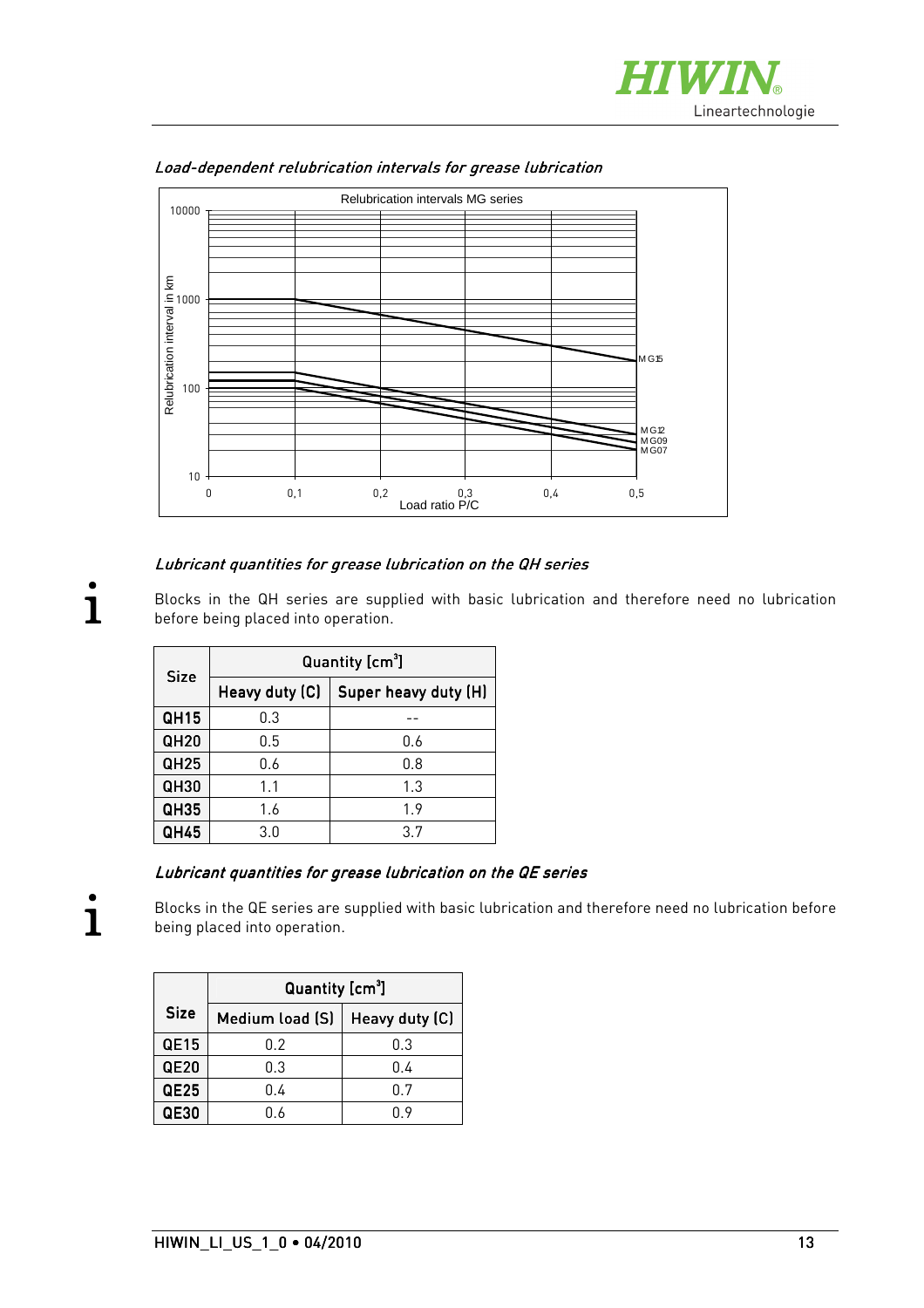



Load-dependent relubrication intervals for grease lubrication

#### Lubricant quantities for grease lubrication on the QH series

Blocks in the QH series are supplied with basic lubrication and therefore need no lubrication before being placed into operation.

| <b>Size</b> | Quantity [cm <sup>3</sup> ] |                      |  |  |
|-------------|-----------------------------|----------------------|--|--|
|             | Heavy duty (C)              | Super heavy duty (H) |  |  |
| <b>QH15</b> | 0.3                         |                      |  |  |
| <b>QH20</b> | 0.5                         | 0.6                  |  |  |
| <b>QH25</b> | 0.6                         | 0.8                  |  |  |
| <b>QH30</b> | 1.1                         | 1.3                  |  |  |
| <b>QH35</b> | 1.6                         | 1.9                  |  |  |
| QH45        | 3.0                         | 3.7                  |  |  |

#### Lubricant quantities for grease lubrication on the QE series

Blocks in the QE series are supplied with basic lubrication and therefore need no lubrication before being placed into operation.

|                  | Quantity [cm <sup>3</sup> ] |                |  |  |  |  |
|------------------|-----------------------------|----------------|--|--|--|--|
| <b>Size</b>      | Medium load (S)             | Heavy duty (C) |  |  |  |  |
| QE15             | 0.2                         | 0.3            |  |  |  |  |
| <b>QE20</b>      | 0.3                         | 0.4            |  |  |  |  |
| QE <sub>25</sub> | 0.4                         | 0.7            |  |  |  |  |
| <b>QE30</b>      | 0.6                         | በ 9            |  |  |  |  |

**i**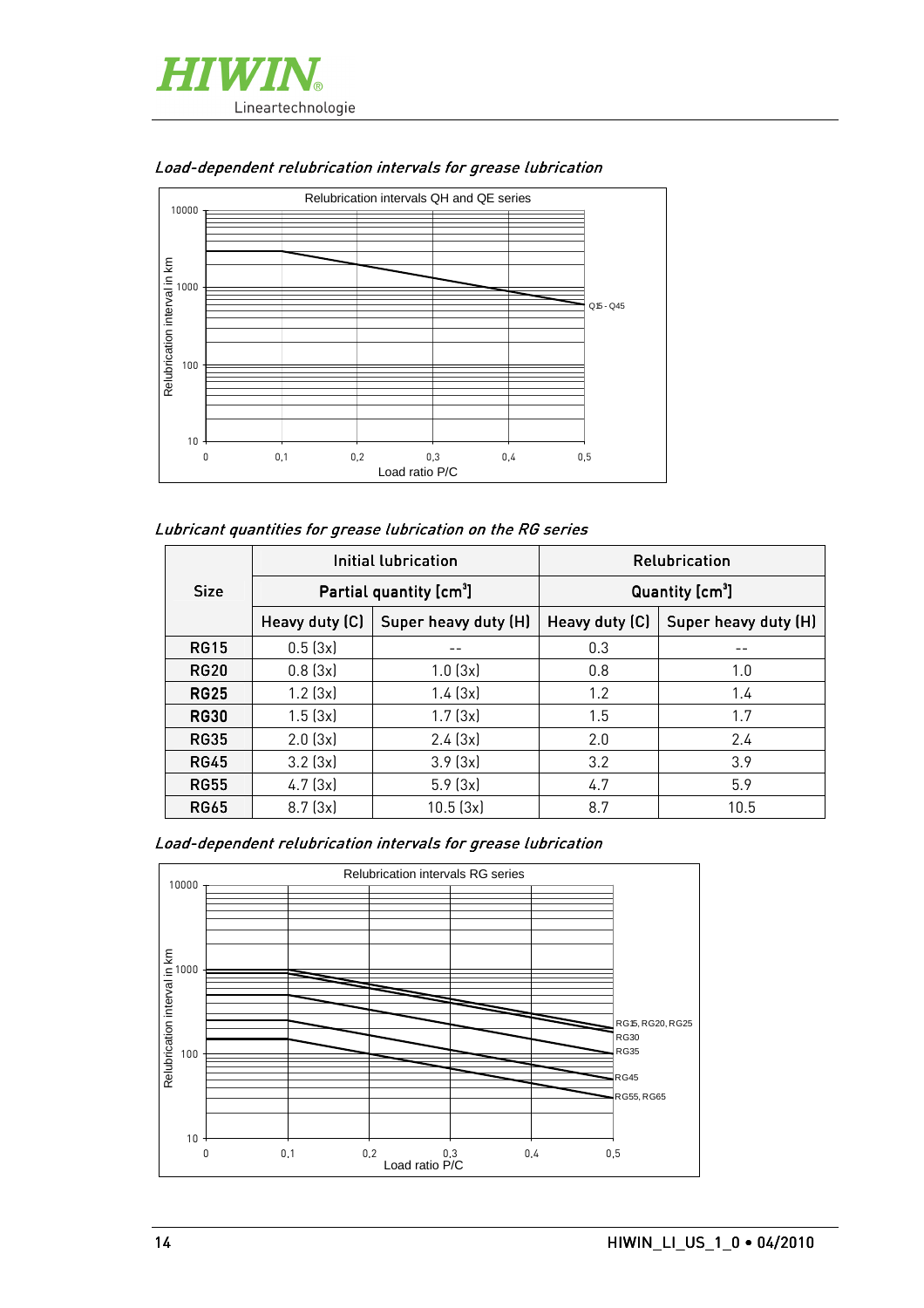



#### Load-dependent relubrication intervals for grease lubrication

#### Lubricant quantities for grease lubrication on the RG series

|             | Initial lubrication |                                     | <b>Relubrication</b>        |                      |  |
|-------------|---------------------|-------------------------------------|-----------------------------|----------------------|--|
| <b>Size</b> |                     | Partial quantity [cm <sup>3</sup> ] | Quantity [cm <sup>3</sup> ] |                      |  |
|             | Heavy duty (C)      | Super heavy duty (H)                | Heavy duty (C)              | Super heavy duty (H) |  |
| <b>RG15</b> | 0.5(3x)             |                                     | 0.3                         |                      |  |
| <b>RG20</b> | 0.8(3x)             | 1.0(3x)                             | 0.8                         | 1.0                  |  |
| <b>RG25</b> | $1.2$ ( $3x$ )      | 1.4(3x)                             | 1.2                         | 1.4                  |  |
| <b>RG30</b> | 1.5(3x)             | 1.7(3x)                             | 1.5                         | 1.7                  |  |
| <b>RG35</b> | 2.0(3x)             | 2.4(3x)                             | 2.0                         | 2.4                  |  |
| <b>RG45</b> | $3.2$ ( $3x$ )      | 3.9(3x)                             | 3.2                         | 3.9                  |  |
| <b>RG55</b> | 4.7(3x)             | 5.9(3x)                             | 4.7                         | 5.9                  |  |
| <b>RG65</b> | 8.7(3x)             | 10.5(3x)                            | 8.7                         | 10.5                 |  |

Load-dependent relubrication intervals for grease lubrication

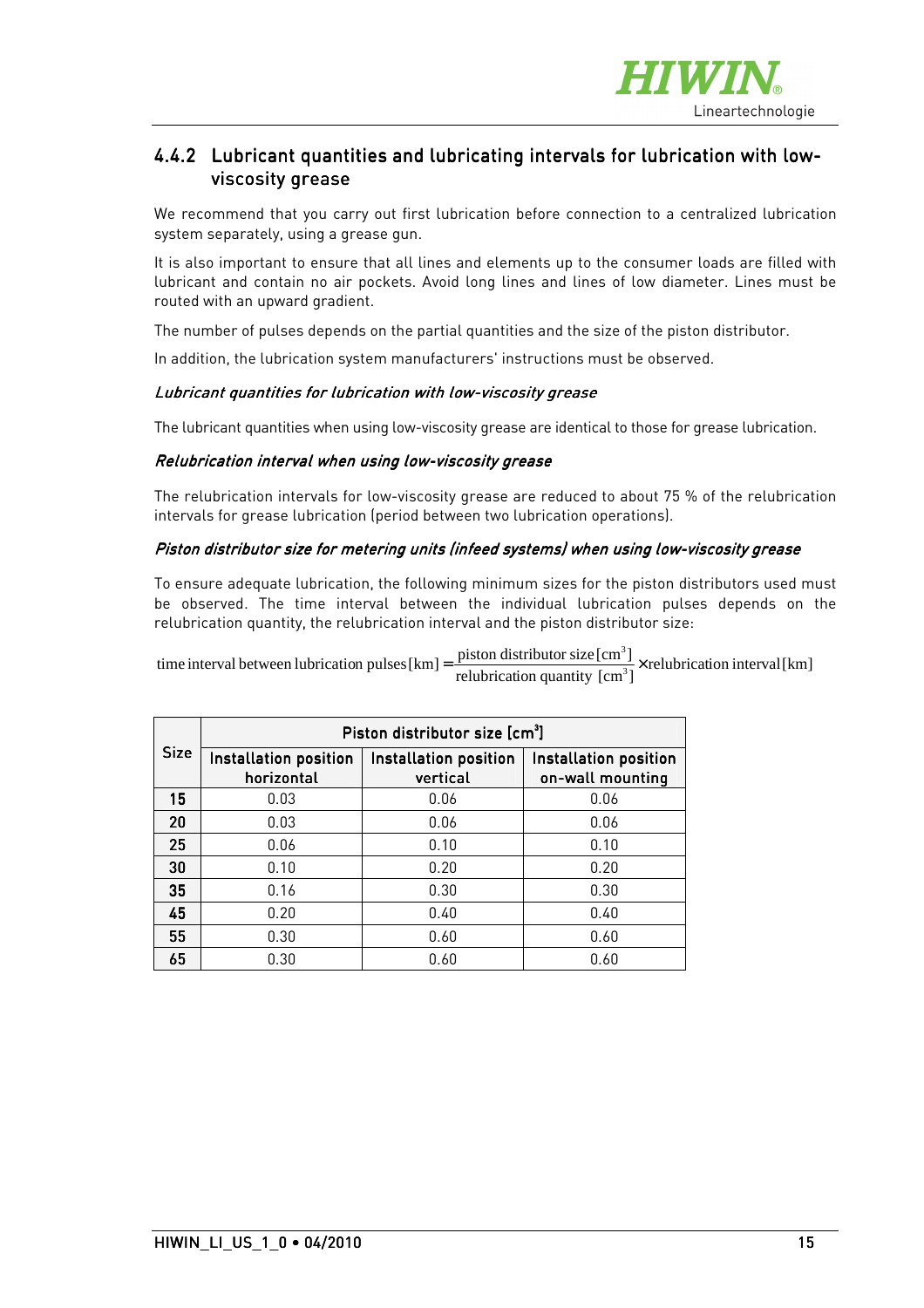

#### 4.4.2 Lubricant quantities and lubricating intervals for lubrication with lowviscosity grease

We recommend that you carry out first lubrication before connection to a centralized lubrication system separately, using a grease gun.

It is also important to ensure that all lines and elements up to the consumer loads are filled with lubricant and contain no air pockets. Avoid long lines and lines of low diameter. Lines must be routed with an upward gradient.

The number of pulses depends on the partial quantities and the size of the piston distributor.

In addition, the lubrication system manufacturers' instructions must be observed.

#### Lubricant quantities for lubrication with low-viscosity grease

The lubricant quantities when using low-viscosity grease are identical to those for grease lubrication.

#### Relubrication interval when using low-viscosity grease

The relubrication intervals for low-viscosity grease are reduced to about 75 % of the relubrication intervals for grease lubrication (period between two lubrication operations).

#### Piston distributor size for metering units (infeed systems) when using low-viscosity grease

To ensure adequate lubrication, the following minimum sizes for the piston distributors used must be observed. The time interval between the individual lubrication pulses depends on the relubrication quantity, the relubrication interval and the piston distributor size:

 $\frac{\text{pission}}{\text{arrelation}} \cdot \frac{\text{size}\,\text{term}}{\text{error}^3}$  x relubrication interval [km] time interval between lubrication pulses  $[km] = \frac{\text{piston distribution size [cm}^3]}{\text{solution quantity [cm}^3]} \times$ 

|             | Piston distributor size [cm3]       |                                   |                                           |  |  |  |
|-------------|-------------------------------------|-----------------------------------|-------------------------------------------|--|--|--|
| <b>Size</b> | Installation position<br>horizontal | Installation position<br>vertical | Installation position<br>on-wall mounting |  |  |  |
| 15          | 0.03                                | 0.06                              | 0.06                                      |  |  |  |
| 20          | 0.03                                | 0.06                              | 0.06                                      |  |  |  |
| 25          | 0.06                                | 0.10                              | 0.10                                      |  |  |  |
| 30          | 0.10                                | 0.20                              | 0.20                                      |  |  |  |
| 35          | 0.16                                | 0.30                              | 0.30                                      |  |  |  |
| 45          | 0.20                                | 0.40                              | 0.40                                      |  |  |  |
| 55          | 0.30                                | 0.60                              | 0.60                                      |  |  |  |
| 65          | 0.30                                | 0.60                              | 0.60                                      |  |  |  |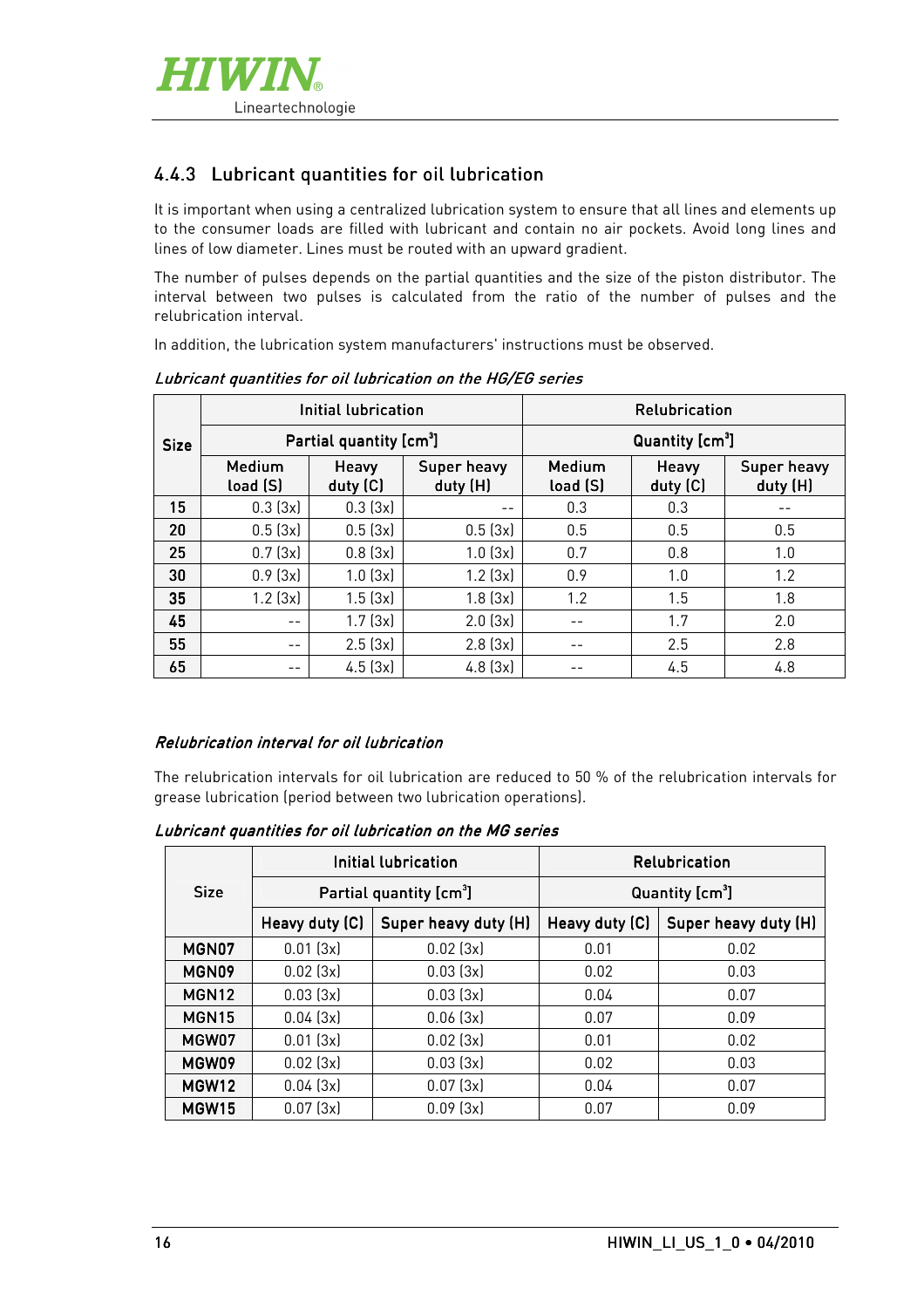

#### 4.4.3 Lubricant quantities for oil lubrication

It is important when using a centralized lubrication system to ensure that all lines and elements up to the consumer loads are filled with lubricant and contain no air pockets. Avoid long lines and lines of low diameter. Lines must be routed with an upward gradient.

The number of pulses depends on the partial quantities and the size of the piston distributor. The interval between two pulses is calculated from the ratio of the number of pulses and the relubrication interval.

In addition, the lubrication system manufacturers' instructions must be observed.

|             |                                     | Initial lubrication | <b>Relubrication</b>    |                             |                   |                         |
|-------------|-------------------------------------|---------------------|-------------------------|-----------------------------|-------------------|-------------------------|
| <b>Size</b> | Partial quantity [cm <sup>3</sup> ] |                     |                         | Quantity [cm <sup>3</sup> ] |                   |                         |
|             | Medium<br>load (S)                  | Heavy<br>duty (C)   | Super heavy<br>duty (H) | Medium<br>load (S)          | Heavy<br>duty (C) | Super heavy<br>duty (H) |
| 15          | 0.3(3x)                             | 0.3(3x)             | --                      | 0.3                         | 0.3               |                         |
| 20          | 0.5(3x)                             | 0.5(3x)             | 0.5(3x)                 | 0.5                         | 0.5               | 0.5                     |
| 25          | 0.7(3x)                             | 0.8(3x)             | 1.0(3x)                 | 0.7                         | 0.8               | 1.0                     |
| 30          | 0.9(3x)                             | 1.0(3x)             | $1.2$ ( $3x$ )          | 0.9                         | 1.0               | 1.2                     |
| 35          | $1.2$ ( $3x$ )                      | 1.5(3x)             | 1.8(3x)                 | 1.2                         | 1.5               | 1.8                     |
| 45          | --                                  | 1.7(3x)             | 2.0(3x)                 |                             | 1.7               | 2.0                     |
| 55          | $ -$                                | 2.5(3x)             | 2.8(3x)                 |                             | 2.5               | 2.8                     |
| 65          |                                     | 4.5(3x)             | 4.8(3x)                 |                             | 4.5               | 4.8                     |

Lubricant quantities for oil lubrication on the HG/EG series

#### Relubrication interval for oil lubrication

The relubrication intervals for oil lubrication are reduced to 50 % of the relubrication intervals for grease lubrication (period between two lubrication operations).

Lubricant quantities for oil lubrication on the MG series

|                   | Initial lubrication<br>Partial quantity [cm <sup>3</sup> ] |                      | <b>Relubrication</b> |                             |
|-------------------|------------------------------------------------------------|----------------------|----------------------|-----------------------------|
| <b>Size</b>       |                                                            |                      |                      | Quantity [cm <sup>3</sup> ] |
|                   | Heavy duty (C)                                             | Super heavy duty (H) | Heavy duty (C)       | Super heavy duty (H)        |
| MGN07             | 0.01(3x)                                                   | 0.02(3x)             | 0.01                 | 0.02                        |
| MGN09             | 0.02(3x)                                                   | 0.03(3x)             | 0.02                 | 0.03                        |
| MGN <sub>12</sub> | 0.03(3x)                                                   | 0.03(3x)             | 0.04                 | 0.07                        |
| MGN <sub>15</sub> | 0.04(3x)                                                   | 0.06(3x)             | 0.07                 | 0.09                        |
| MGW07             | 0.01(3x)                                                   | 0.02(3x)             | 0.01                 | 0.02                        |
| MGW09             | 0.02(3x)                                                   | 0.03(3x)             | 0.02                 | 0.03                        |
| MGW12             | 0.04(3x)                                                   | 0.07(3x)             | 0.04                 | 0.07                        |
| MGW <sub>15</sub> | 0.07(3x)                                                   | 0.09(3x)             | 0.07                 | 0.09                        |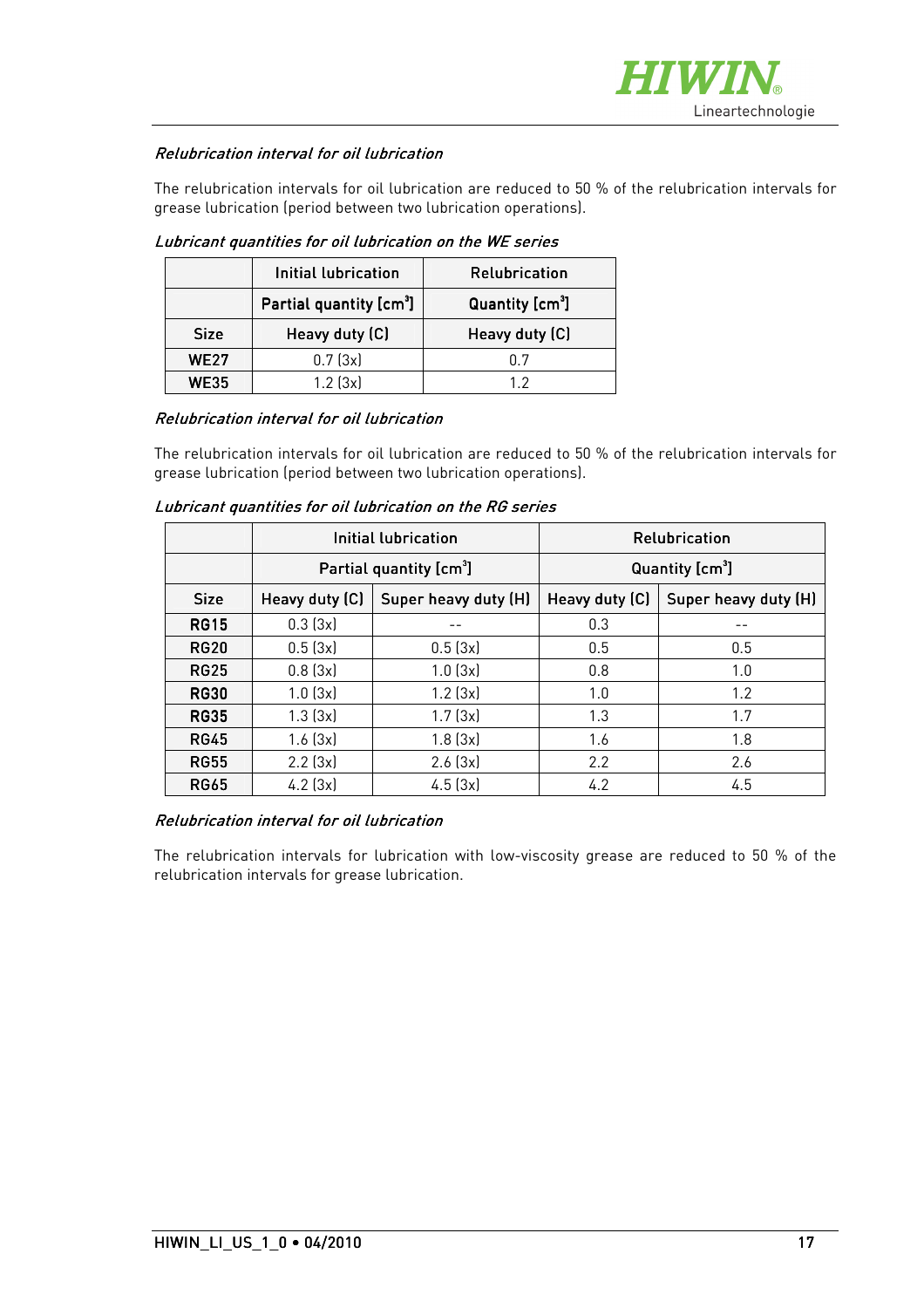

#### Relubrication interval for oil lubrication

The relubrication intervals for oil lubrication are reduced to 50 % of the relubrication intervals for grease lubrication (period between two lubrication operations).

|             | Initial lubrication                 | <b>Relubrication</b>        |
|-------------|-------------------------------------|-----------------------------|
|             | Partial quantity [cm <sup>3</sup> ] | Quantity [cm <sup>3</sup> ] |
| <b>Size</b> | Heavy duty (C)                      | Heavy duty (C)              |
|             |                                     |                             |
| <b>WE27</b> | 0.7(3x)                             | በ 7                         |

Lubricant quantities for oil lubrication on the WE series

#### Relubrication interval for oil lubrication

The relubrication intervals for oil lubrication are reduced to 50 % of the relubrication intervals for grease lubrication (period between two lubrication operations).

Lubricant quantities for oil lubrication on the RG series

|             | Initial lubrication                 |                      |                             | Relubrication        |
|-------------|-------------------------------------|----------------------|-----------------------------|----------------------|
|             | Partial quantity [cm <sup>3</sup> ] |                      | Quantity [cm <sup>3</sup> ] |                      |
| <b>Size</b> | Heavy duty (C)                      | Super heavy duty (H) | Heavy duty (C)              | Super heavy duty (H) |
| <b>RG15</b> | 0.3(3x)                             |                      | 0.3                         | --                   |
| <b>RG20</b> | 0.5(3x)                             | 0.5(3x)              | 0.5                         | 0.5                  |
| <b>RG25</b> | 0.8(3x)                             | 1.0(3x)              | 0.8                         | 1.0                  |
| <b>RG30</b> | 1.0(3x)                             | $1.2$ ( $3x$ )       | 1.0                         | 1.2                  |
| <b>RG35</b> | 1.3(3x)                             | 1.7(3x)              | 1.3                         | 1.7                  |
| <b>RG45</b> | 1.6(3x)                             | 1.8(3x)              | 1.6                         | 1.8                  |
| <b>RG55</b> | $2.2$ ( $3x$ )                      | 2.6(3x)              | 2.2                         | 2.6                  |
| <b>RG65</b> | $4.2$ (3x)                          | 4.5(3x)              | 4.2                         | 4.5                  |

#### Relubrication interval for oil lubrication

The relubrication intervals for lubrication with low-viscosity grease are reduced to 50 % of the relubrication intervals for grease lubrication.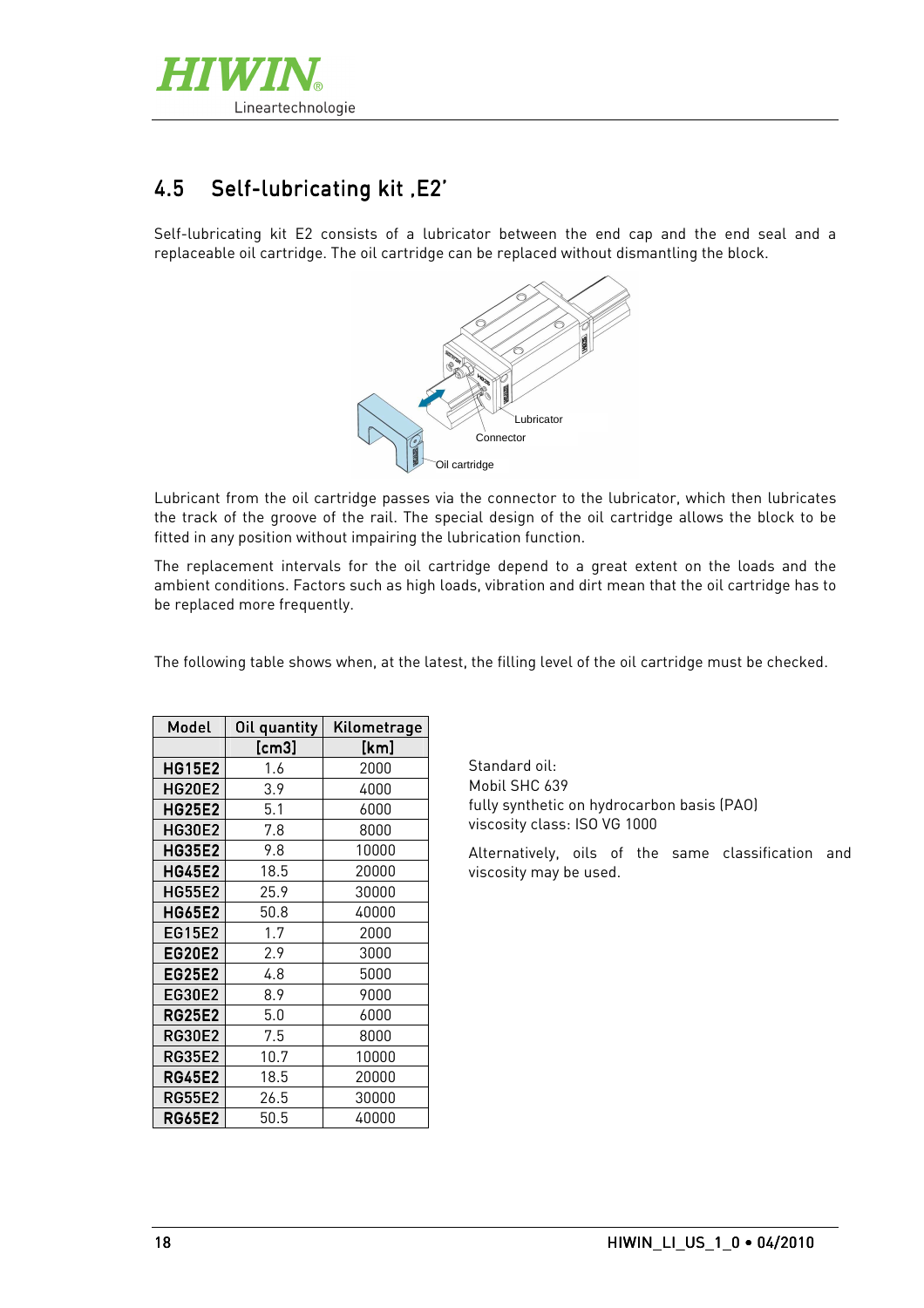

# 4.5 Self-lubricating kit , E2'

Self-lubricating kit E2 consists of a lubricator between the end cap and the end seal and a replaceable oil cartridge. The oil cartridge can be replaced without dismantling the block.



Lubricant from the oil cartridge passes via the connector to the lubricator, which then lubricates the track of the groove of the rail. The special design of the oil cartridge allows the block to be fitted in any position without impairing the lubrication function.

The replacement intervals for the oil cartridge depend to a great extent on the loads and the ambient conditions. Factors such as high loads, vibration and dirt mean that the oil cartridge has to be replaced more frequently.

The following table shows when, at the latest, the filling level of the oil cartridge must be checked.

| Model         | Oil quantity | Kilometrage |
|---------------|--------------|-------------|
|               | [cm3]        | [km]        |
| <b>HG15E2</b> | 1.6          | 2000        |
| <b>HG20E2</b> | 3.9          | 4000        |
| <b>HG25E2</b> | 5.1          | 6000        |
| <b>HG30E2</b> | 7.8          | 8000        |
| <b>HG35E2</b> | 9.8          | 10000       |
| <b>HG45E2</b> | 18.5         | 20000       |
| <b>HG55E2</b> | 25.9         | 30000       |
| <b>HG65E2</b> | 50.8         | 40000       |
| EG15E2        | 1.7          | 2000        |
| <b>EG20E2</b> | 2.9          | 3000        |
| EG25E2        | 4.8          | 5000        |
| EG30E2        | 8.9          | 9000        |
| <b>RG25E2</b> | 5.0          | 6000        |
| <b>RG30E2</b> | 7.5          | 8000        |
| <b>RG35E2</b> | 10.7         | 10000       |
| <b>RG45E2</b> | 18.5         | 20000       |
| <b>RG55E2</b> | 26.5         | 30000       |
| <b>RG65E2</b> | 50.5         | 40000       |

Standard oil: Mobil SHC 639 fully synthetic on hydrocarbon basis (PAO) viscosity class: ISO VG 1000

Alternatively, oils of the same classification and viscosity may be used.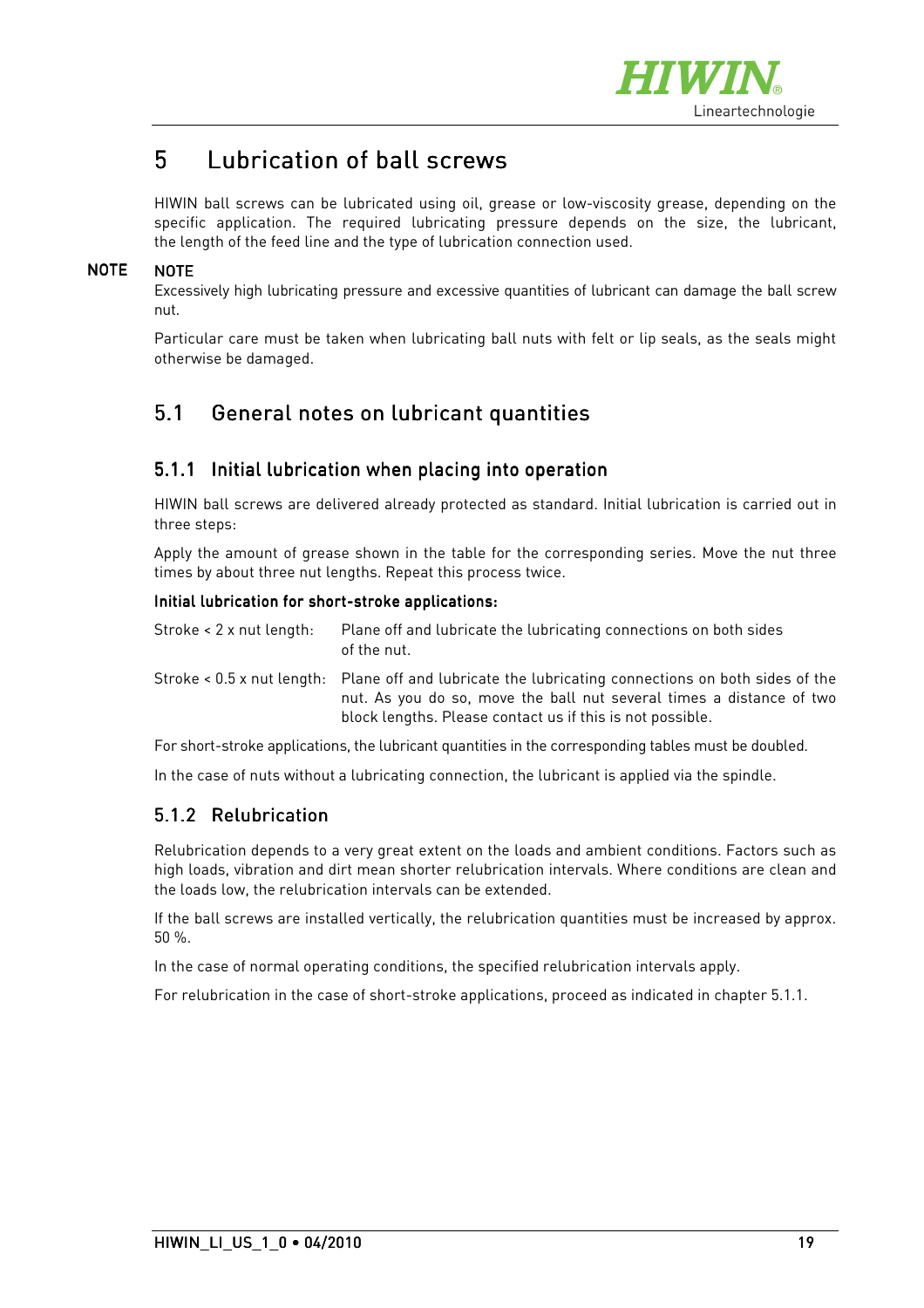

# 5 Lubrication of ball screws

HIWIN ball screws can be lubricated using oil, grease or low-viscosity grease, depending on the specific application. The required lubricating pressure depends on the size, the lubricant, the length of the feed line and the type of lubrication connection used.

#### **NOTE NOTE**

Excessively high lubricating pressure and excessive quantities of lubricant can damage the ball screw nut.

Particular care must be taken when lubricating ball nuts with felt or lip seals, as the seals might otherwise be damaged.

## 5.1 General notes on lubricant quantities

#### 5.1.1 Initial lubrication when placing into operation

HIWIN ball screws are delivered already protected as standard. Initial lubrication is carried out in three steps:

Apply the amount of grease shown in the table for the corresponding series. Move the nut three times by about three nut lengths. Repeat this process twice.

#### Initial lubrication for short-stroke applications:

| Stroke $\leq 2$ x nut length: | Plane off and lubricate the lubricating connections on both sides<br>of the nut.                                                                                                                                                         |
|-------------------------------|------------------------------------------------------------------------------------------------------------------------------------------------------------------------------------------------------------------------------------------|
|                               | Stroke < 0.5 x nut length: Plane off and lubricate the lubricating connections on both sides of the<br>nut. As you do so, move the ball nut several times a distance of two<br>block lengths. Please contact us if this is not possible. |

For short-stroke applications, the lubricant quantities in the corresponding tables must be doubled.

In the case of nuts without a lubricating connection, the lubricant is applied via the spindle.

#### 5.1.2 Relubrication

Relubrication depends to a very great extent on the loads and ambient conditions. Factors such as high loads, vibration and dirt mean shorter relubrication intervals. Where conditions are clean and the loads low, the relubrication intervals can be extended.

If the ball screws are installed vertically, the relubrication quantities must be increased by approx. 50 %.

In the case of normal operating conditions, the specified relubrication intervals apply.

For relubrication in the case of short-stroke applications, proceed as indicated in chapter 5.1.1.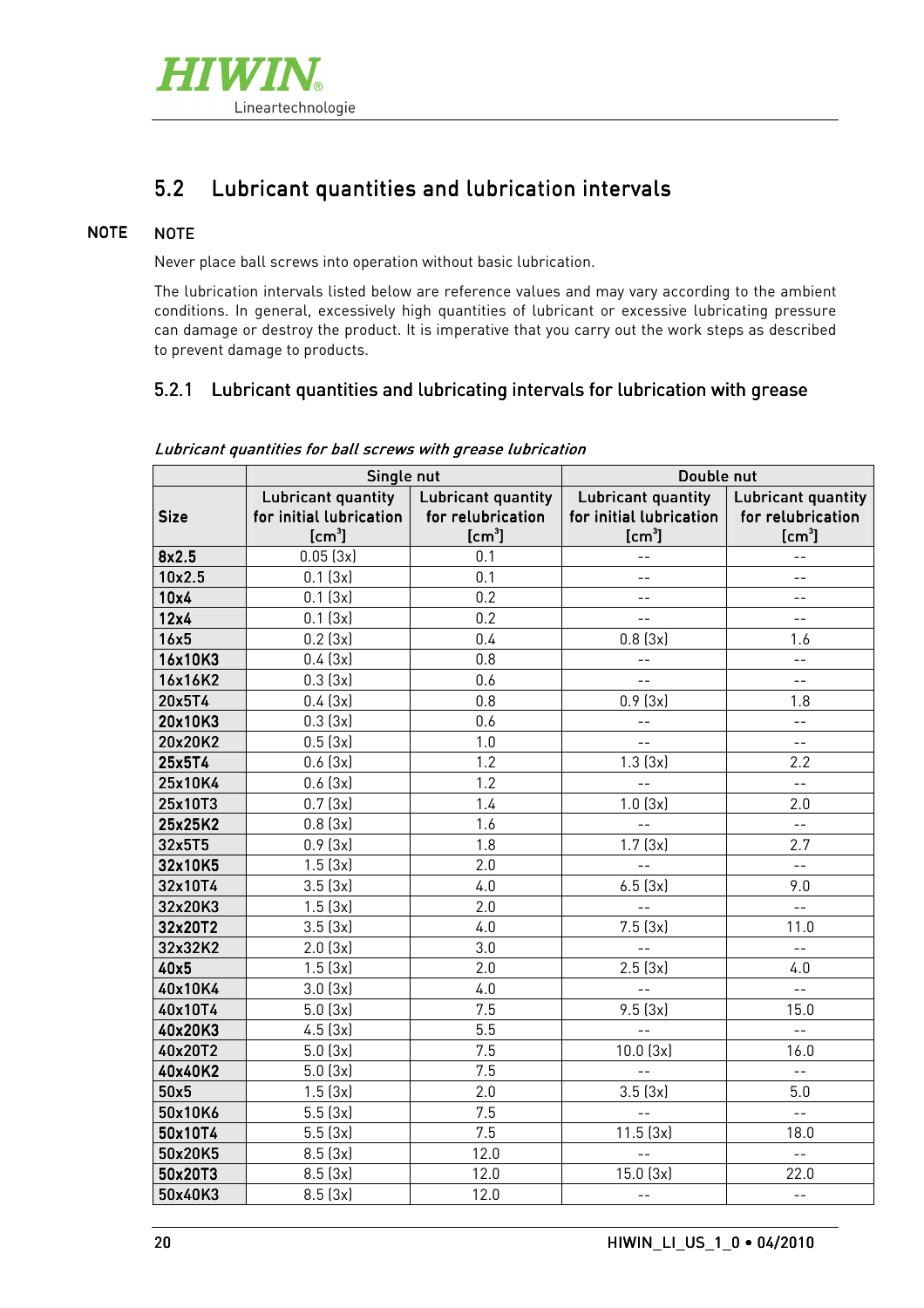

# 5.2 Lubricant quantities and lubrication intervals

#### **NOTE NOTE**

Never place ball screws into operation without basic lubrication.

The lubrication intervals listed below are reference values and may vary according to the ambient conditions. In general, excessively high quantities of lubricant or excessive lubricating pressure can damage or destroy the product. It is imperative that you carry out the work steps as described to prevent damage to products.

#### 5.2.1 Lubricant quantities and lubricating intervals for lubrication with grease

|             | Single nut              |                           | Double nut              |                           |
|-------------|-------------------------|---------------------------|-------------------------|---------------------------|
|             | Lubricant quantity      | <b>Lubricant quantity</b> | Lubricant quantity      | <b>Lubricant quantity</b> |
| <b>Size</b> | for initial lubrication | for relubrication         | for initial lubrication | for relubrication         |
|             | [cm <sup>3</sup> ]      | [cm <sup>3</sup> ]        | [cm <sup>3</sup> ]      | [cm <sup>3</sup> ]        |
| 8x2.5       | 0.05(3x)                | 0.1                       | $-$                     |                           |
| 10x2.5      | 0.1(3x)                 | 0.1                       | $-$                     | $-$                       |
| 10x4        | 0.1(3x)                 | 0.2                       | $ -$                    | $- -$                     |
| 12x4        | 0.1(3x)                 | 0.2                       | $ -$                    | $- -$                     |
| 16x5        | 0.2(3x)                 | 0.4                       | 0.8(3x)                 | 1.6                       |
| 16x10K3     | 0.4(3x)                 | 0.8                       | $ -$                    | $-1$                      |
| 16x16K2     | 0.3(3x)                 | 0.6                       |                         | $- -$                     |
| 20x5T4      | 0.4(3x)                 | 0.8                       | 0.9(3x)                 | 1.8                       |
| 20x10K3     | 0.3(3x)                 | 0.6                       |                         | $-1$                      |
| 20x20K2     | 0.5(3x)                 | 1.0                       | $- -$                   | $ -$                      |
| 25x5T4      | 0.6(3x)                 | 1.2                       | 1.3(3x)                 | 2.2                       |
| 25x10K4     | 0.6(3x)                 | 1.2                       | $\overline{a}$          | $\overline{a}$            |
| 25x10T3     | 0.7(3x)                 | 1.4                       | 1.0(3x)                 | 2.0                       |
| 25x25K2     | 0.8(3x)                 | 1.6                       |                         | $\sim$ $\sim$             |
| 32x5T5      | 0.9(3x)                 | 1.8                       | 1.7(3x)                 | 2.7                       |
| 32x10K5     | 1.5(3x)                 | 2.0                       |                         | $-1$                      |
| 32x10T4     | 3.5(3x)                 | 4.0                       | 6.5(3x)                 | 9.0                       |
| 32x20K3     | 1.5(3x)                 | 2.0                       | $\sim$                  | $\bar{\mathbb{L}}$        |
| 32x20T2     | 3.5(3x)                 | 4.0                       | 7.5(3x)                 | 11.0                      |
| 32x32K2     | 2.0(3x)                 | 3.0                       |                         |                           |
| 40x5        | 1.5(3x)                 | 2.0                       | 2.5(3x)                 | 4.0                       |
| 40x10K4     | 3.0(3x)                 | 4.0                       | $\overline{a}$          | $\overline{a}$            |
| 40x10T4     | 5.0(3x)                 | 7.5                       | 9.5(3x)                 | 15.0                      |
| 40x20K3     | 4.5(3x)                 | 5.5                       | $\perp$ $\perp$         | $-1$                      |
| 40x20T2     | 5.0(3x)                 | 7.5                       | 10.0(3x)                | 16.0                      |
| 40x40K2     | 5.0(3x)                 | 7.5                       | $= -$                   | $- -$                     |
| 50x5        | 1.5(3x)                 | 2.0                       | 3.5(3x)                 | 5.0                       |
| 50x10K6     | 5.5(3x)                 | 7.5                       | $-$                     | $\perp$ $\perp$           |
| 50x10T4     | 5.5(3x)                 | 7.5                       | 11.5(3x)                | 18.0                      |
| 50x20K5     | 8.5(3x)                 | 12.0                      | $=$ $-$                 | $\perp$ $\perp$           |
| 50x20T3     | 8.5(3x)                 | 12.0                      | 15.0(3x)                | 22.0                      |
| 50x40K3     | 8.5(3x)                 | 12.0                      | $- -$                   | $\equiv$ $\equiv$         |

Lubricant quantities for ball screws with grease lubrication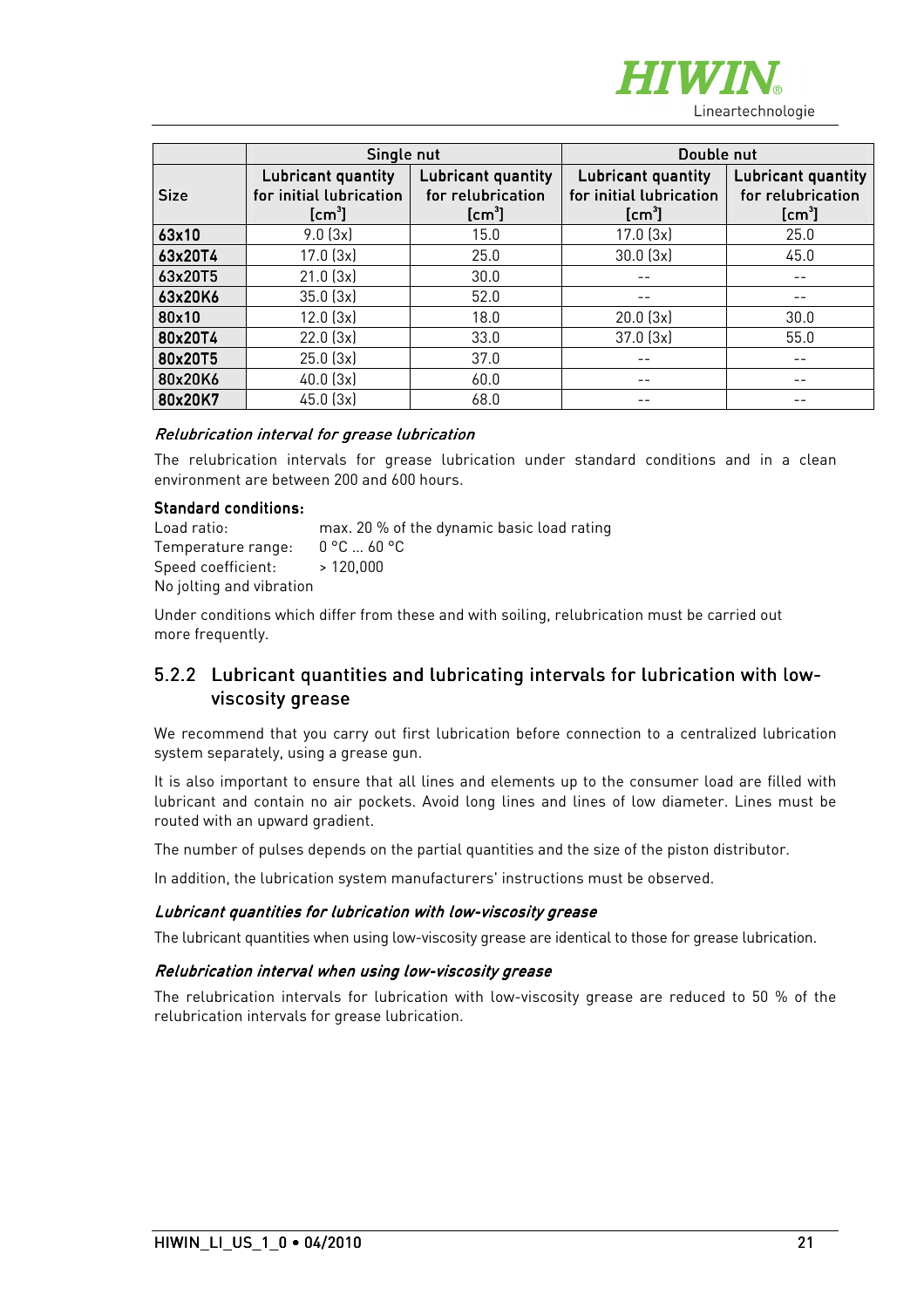

|             | Single nut                                                |                                                     | Double nut                                                          |                                                               |
|-------------|-----------------------------------------------------------|-----------------------------------------------------|---------------------------------------------------------------------|---------------------------------------------------------------|
| <b>Size</b> | Lubricant quantity<br>for initial lubrication<br>$[cm^3]$ | Lubricant quantity<br>for relubrication<br>$[cm^3]$ | Lubricant quantity<br>for initial lubrication<br>[cm <sup>3</sup> ] | Lubricant quantity<br>for relubrication<br>[cm <sup>3</sup> ] |
| 63x10       | 9.0(3x)                                                   | 15.0                                                | 17.0(3x)                                                            | 25.0                                                          |
| 63x20T4     | $17.0$ $(3x)$                                             | 25.0                                                | 30.0(3x)                                                            | 45.0                                                          |
| 63x20T5     | $21.0$ $(3x)$                                             | 30.0                                                |                                                                     |                                                               |
| 63x20K6     | 35.0(3x)                                                  | 52.0                                                |                                                                     |                                                               |
| 80x10       | 12.0(3x)                                                  | 18.0                                                | $20.0$ $(3x)$                                                       | 30.0                                                          |
| 80x20T4     | 22.0(3x)                                                  | 33.0                                                | $37.0$ $(3x)$                                                       | 55.0                                                          |
| 80x20T5     | 25.0(3x)                                                  | 37.0                                                |                                                                     |                                                               |
| 80x20K6     | $40.0$ $(3x)$                                             | 60.0                                                |                                                                     |                                                               |
| 80x20K7     | $45.0$ $(3x)$                                             | 68.0                                                |                                                                     |                                                               |

#### Relubrication interval for grease lubrication

The relubrication intervals for grease lubrication under standard conditions and in a clean environment are between 200 and 600 hours.

#### Standard conditions:

| Load ratio:                   | max. 20 % of the dynamic basic load rating |
|-------------------------------|--------------------------------------------|
| Temperature range:            | 0 °C  60 °C                                |
| Speed coefficient: $>120,000$ |                                            |
| No jolting and vibration      |                                            |

Under conditions which differ from these and with soiling, relubrication must be carried out more frequently.

#### 5.2.2 Lubricant quantities and lubricating intervals for lubrication with lowviscosity grease

We recommend that you carry out first lubrication before connection to a centralized lubrication system separately, using a grease gun.

It is also important to ensure that all lines and elements up to the consumer load are filled with lubricant and contain no air pockets. Avoid long lines and lines of low diameter. Lines must be routed with an upward gradient.

The number of pulses depends on the partial quantities and the size of the piston distributor.

In addition, the lubrication system manufacturers' instructions must be observed.

#### Lubricant quantities for lubrication with low-viscosity grease

The lubricant quantities when using low-viscosity grease are identical to those for grease lubrication.

#### Relubrication interval when using low-viscosity grease

The relubrication intervals for lubrication with low-viscosity grease are reduced to 50 % of the relubrication intervals for grease lubrication.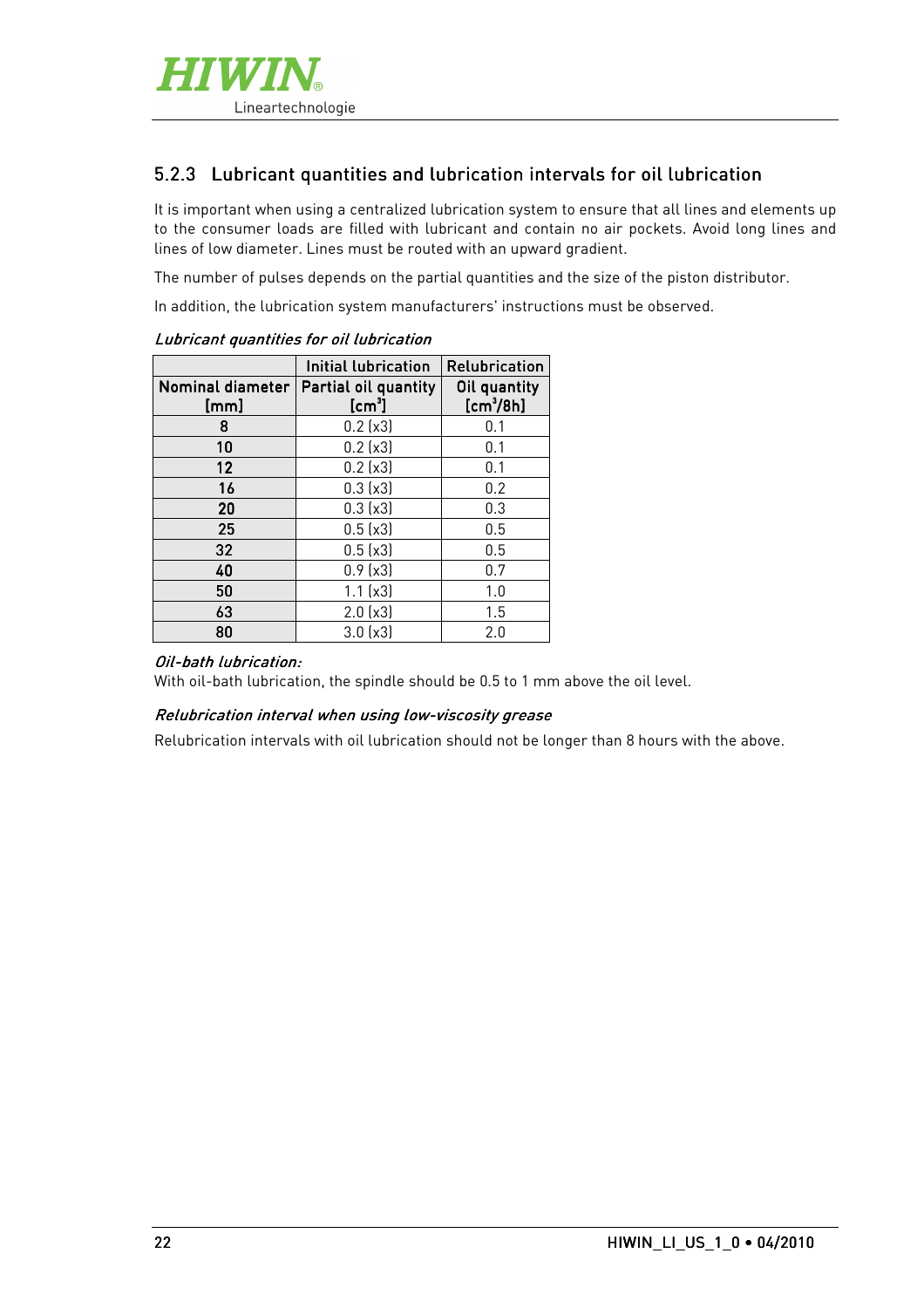

#### 5.2.3 Lubricant quantities and lubrication intervals for oil lubrication

It is important when using a centralized lubrication system to ensure that all lines and elements up to the consumer loads are filled with lubricant and contain no air pockets. Avoid long lines and lines of low diameter. Lines must be routed with an upward gradient.

The number of pulses depends on the partial quantities and the size of the piston distributor.

In addition, the lubrication system manufacturers' instructions must be observed.

|                          | <b>Initial lubrication</b>       | Relubrication                         |
|--------------------------|----------------------------------|---------------------------------------|
| Nominal diameter<br>[mm] | Partial oil quantity<br>$[cm^3]$ | Oil quantity<br>[cm <sup>3</sup> /8h] |
| 8                        | 0.2(x3)                          | 0.1                                   |
| 10                       | 0.2(x3)                          | 0.1                                   |
| 12                       | 0.2(x3)                          | 0.1                                   |
| 16                       | 0.3(x3)                          | 0.2                                   |
| 20                       | 0.3(x3)                          | 0.3                                   |
| 25                       | 0.5(x3)                          | 0.5                                   |
| 32                       | 0.5(x3)                          | 0.5                                   |
| 40                       | 0.9(x3)                          | 0.7                                   |
| 50                       | 1.1(x3)                          | 1.0                                   |
| 63                       | 2.0(x3)                          | 1.5                                   |
| 80                       | 3.0(x3)                          | 2.0                                   |

#### Lubricant quantities for oil lubrication

#### Oil-bath lubrication:

With oil-bath lubrication, the spindle should be 0.5 to 1 mm above the oil level.

#### Relubrication interval when using low-viscosity grease

Relubrication intervals with oil lubrication should not be longer than 8 hours with the above.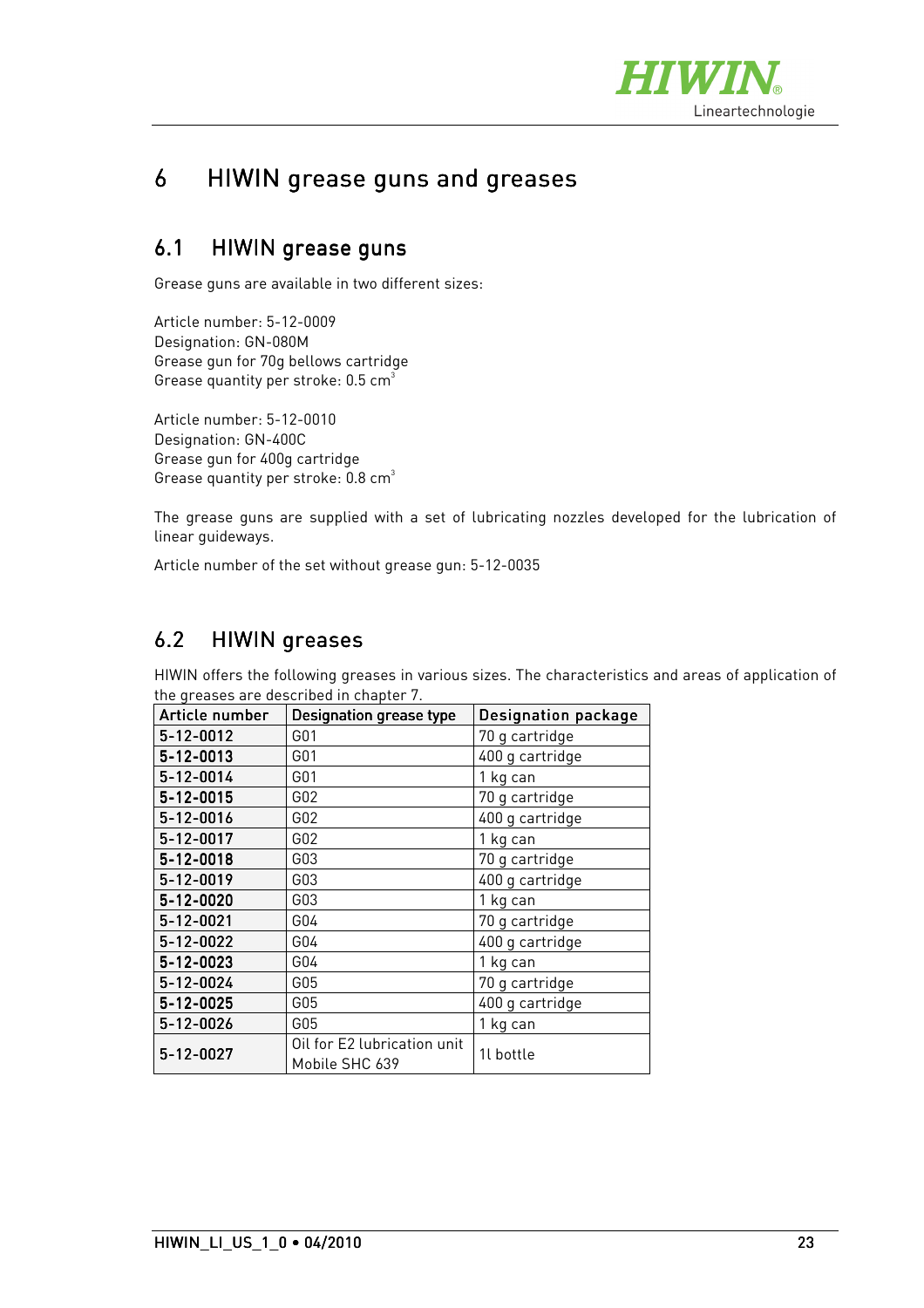

# 6 HIWIN grease guns and greases

## 6.1 HIWIN grease guns

Grease guns are available in two different sizes:

Article number: 5-12-0009 Designation: GN-080M Grease gun for 70g bellows cartridge Grease quantity per stroke:  $0.5$  cm<sup>3</sup>

Article number: 5-12-0010 Designation: GN-400C Grease gun for 400g cartridge Grease quantity per stroke:  $0.8 \text{ cm}^3$ 

The grease guns are supplied with a set of lubricating nozzles developed for the lubrication of linear guideways.

Article number of the set without grease gun: 5-12-0035

## 6.2 HIWIN greases

HIWIN offers the following greases in various sizes. The characteristics and areas of application of the greases are described in chapter 7

| Article number  | <b>Designation grease type</b>                | <b>Designation package</b> |
|-----------------|-----------------------------------------------|----------------------------|
| 5-12-0012       | G <sub>01</sub>                               | 70 g cartridge             |
| 5-12-0013       | G01                                           | 400 g cartridge            |
| 5-12-0014       | G01                                           | 1 kg can                   |
| 5-12-0015       | G <sub>02</sub>                               | 70 g cartridge             |
| 5-12-0016       | G <sub>02</sub>                               | 400 g cartridge            |
| $5 - 12 - 0017$ | G02                                           | 1 kg can                   |
| $5 - 12 - 0018$ | G03                                           | 70 g cartridge             |
| 5-12-0019       | G03                                           | 400 g cartridge            |
| $5 - 12 - 0020$ | G03                                           | 1 kg can                   |
| 5-12-0021       | G04                                           | 70 g cartridge             |
| 5-12-0022       | G04                                           | 400 g cartridge            |
| 5-12-0023       | G04                                           | 1 kg can                   |
| 5-12-0024       | G <sub>05</sub>                               | 70 g cartridge             |
| 5-12-0025       | G05                                           | 400 g cartridge            |
| $5 - 12 - 0026$ | G05                                           | 1 kg can                   |
| 5-12-0027       | Oil for E2 lubrication unit<br>Mobile SHC 639 | 1l bottle                  |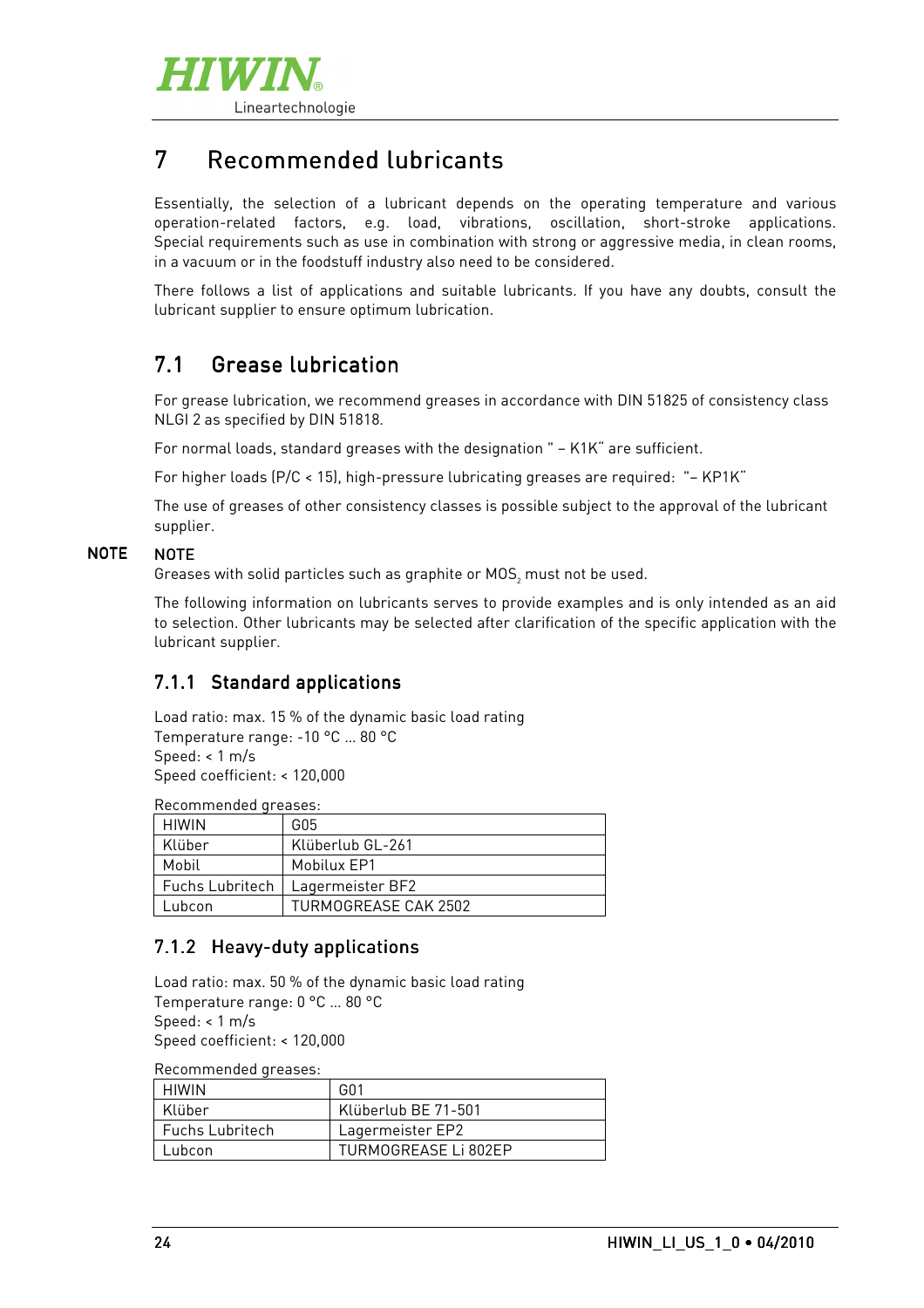

# 7 Recommended lubricants

Essentially, the selection of a lubricant depends on the operating temperature and various operation-related factors, e.g. load, vibrations, oscillation, short-stroke applications. Special requirements such as use in combination with strong or aggressive media, in clean rooms, in a vacuum or in the foodstuff industry also need to be considered.

There follows a list of applications and suitable lubricants. If you have any doubts, consult the lubricant supplier to ensure optimum lubrication.

## 7.1 Grease lubrication

For grease lubrication, we recommend greases in accordance with DIN 51825 of consistency class NLGI 2 as specified by DIN 51818.

For normal loads, standard greases with the designation " – K1K" are sufficient.

For higher loads (P/C < 15), high-pressure lubricating greases are required: "– KP1K"

The use of greases of other consistency classes is possible subject to the approval of the lubricant supplier.

#### NOTE **NOTE**

Greases with solid particles such as graphite or MOS $_{\textrm{\tiny{2}}}$  must not be used.

The following information on lubricants serves to provide examples and is only intended as an aid to selection. Other lubricants may be selected after clarification of the specific application with the lubricant supplier.

### 7.1.1 Standard applications

Load ratio: max. 15 % of the dynamic basic load rating Temperature range: -10 °C … 80 °C Speed: < 1 m/s Speed coefficient: < 120,000

Recommended greases:

| HIWIN                  | G05                  |  |
|------------------------|----------------------|--|
| Klüber                 | Klüberlub GL-261     |  |
| Mobil                  | Mobilux EP1          |  |
| <b>Fuchs Lubritech</b> | Lagermeister BF2     |  |
| Lubcon                 | TURMOGREASE CAK 2502 |  |

#### 7.1.2 Heavy-duty applications

Load ratio: max. 50 % of the dynamic basic load rating Temperature range: 0 °C … 80 °C Speed: < 1 m/s Speed coefficient: < 120,000

Recommended greases:

| HIWIN                  | GN <sub>1</sub>      |
|------------------------|----------------------|
| Klüber                 | Klüberlub BE 71-501  |
| <b>Fuchs Lubritech</b> | Lagermeister EP2     |
| Lubcon                 | TURMOGREASE Li 802EP |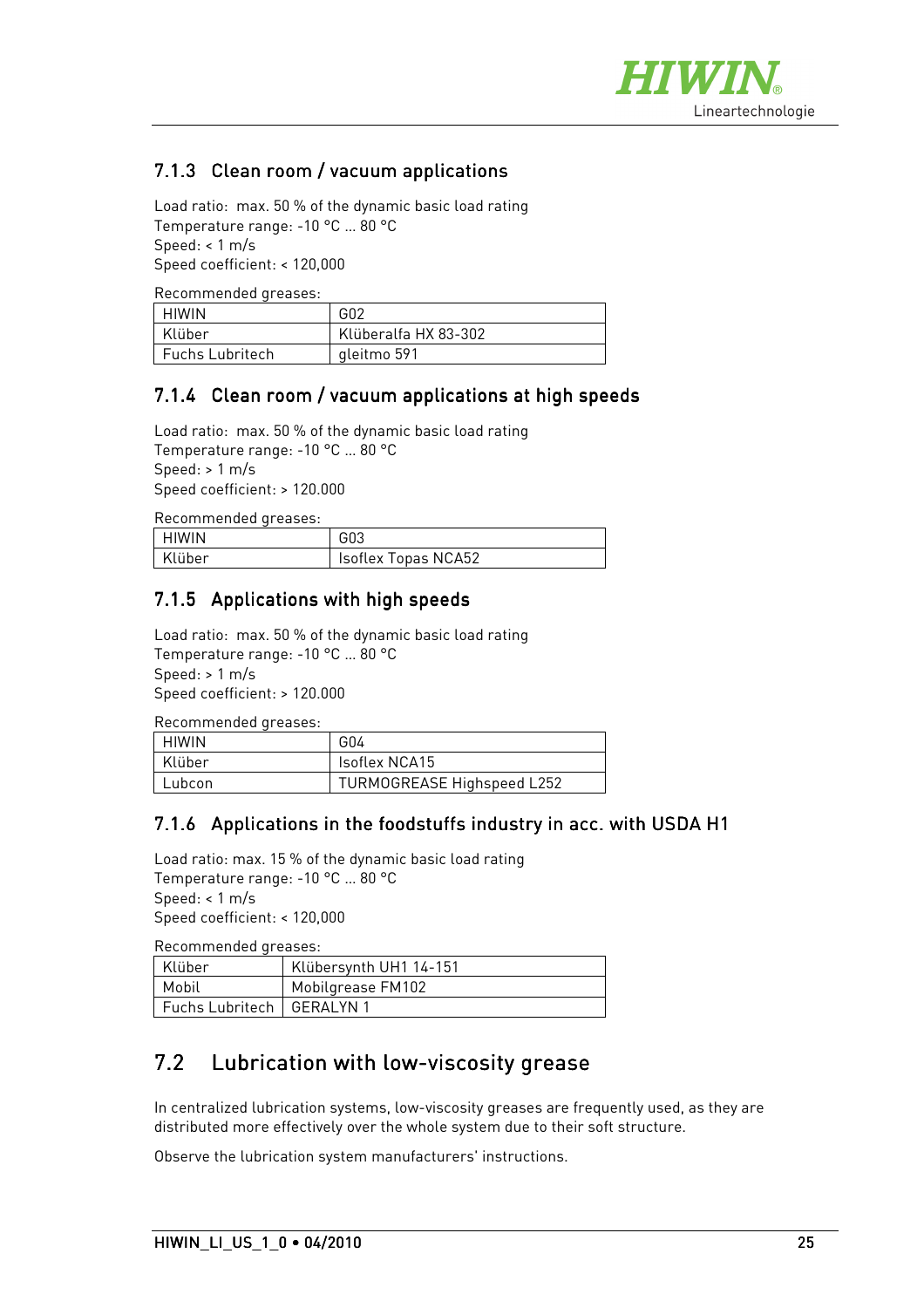

## 7.1.3 Clean room / vacuum applications

Load ratio: max. 50 % of the dynamic basic load rating Temperature range: -10 °C … 80 °C Speed: < 1 m/s Speed coefficient: < 120,000

Recommended greases:

| HIWIN                  | G <sub>02</sub>      |
|------------------------|----------------------|
| Klüber                 | Klüberalfa HX 83-302 |
| <b>Fuchs Lubritech</b> | aleitmo 591          |

#### 7.1.4 Clean room / vacuum applications at high speeds

Load ratio: max. 50 % of the dynamic basic load rating Temperature range: -10 °C … 80 °C Speed: > 1 m/s Speed coefficient: > 120.000

Recommended greases:

| I HIWIN | G03                        |
|---------|----------------------------|
| Klüber  | <b>Isoflex Topas NCA52</b> |

#### 7.1.5 Applications with high speeds

Load ratio: max. 50 % of the dynamic basic load rating Temperature range: -10 °C … 80 °C Speed: > 1 m/s Speed coefficient: > 120.000

Recommended greases:

| HIWIN  | G04                               |
|--------|-----------------------------------|
| Klüber | lsoflex NCA15                     |
| Lubcon | <b>TURMOGREASE Highspeed L252</b> |

#### 7.1.6 Applications in the foodstuffs industry in acc. with USDA H1

Load ratio: max. 15 % of the dynamic basic load rating Temperature range: -10 °C … 80 °C Speed: < 1 m/s Speed coefficient: < 120,000

Recommended greases:

| Klüber                      | Klübersynth UH1 14-151 |
|-----------------------------|------------------------|
| Mobil                       | Mobilgrease FM102      |
| Fuchs Lubritech   GERALYN 1 |                        |

## 7.2 Lubrication with low-viscosity grease

In centralized lubrication systems, low-viscosity greases are frequently used, as they are distributed more effectively over the whole system due to their soft structure.

Observe the lubrication system manufacturers' instructions.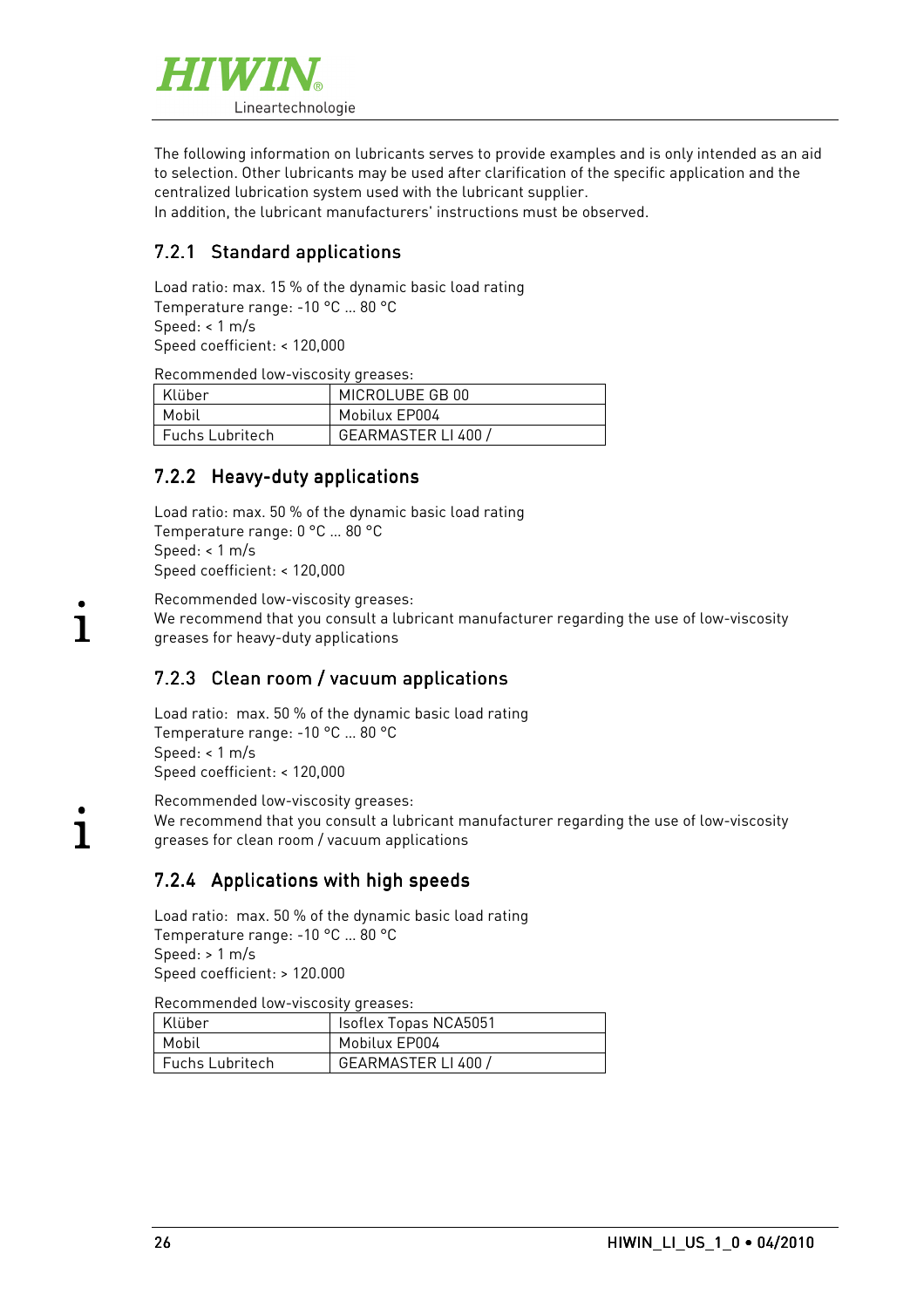

The following information on lubricants serves to provide examples and is only intended as an aid to selection. Other lubricants may be used after clarification of the specific application and the centralized lubrication system used with the lubricant supplier.

In addition, the lubricant manufacturers' instructions must be observed.

### 7.2.1 Standard applications

Load ratio: max. 15 % of the dynamic basic load rating Temperature range: -10 °C … 80 °C Speed: < 1 m/s Speed coefficient: < 120,000

Recommended low-viscosity greases:

| Klüber            | MICROLUBE GB 00   |
|-------------------|-------------------|
| Mobil             | Mobilux EP004     |
| - Fuchs Lubritech | GEARMASTER LI 400 |

#### 7.2.2 Heavy-duty applications

Load ratio: max. 50 % of the dynamic basic load rating Temperature range: 0 °C … 80 °C Speed: < 1 m/s Speed coefficient: < 120,000

Recommended low-viscosity greases: We recommend that you consult a lubricant manufacturer regarding the use of low-viscosity greases for heavy-duty applications

#### 7.2.3 Clean room / vacuum applications

Load ratio: max. 50 % of the dynamic basic load rating Temperature range: -10 °C … 80 °C Speed: < 1 m/s Speed coefficient: < 120,000

Recommended low-viscosity greases: We recommend that you consult a lubricant manufacturer regarding the use of low-viscosity greases for clean room / vacuum applications

### 7.2.4 Applications with high speeds

Load ratio: max. 50 % of the dynamic basic load rating Temperature range: -10 °C … 80 °C Speed: > 1 m/s Speed coefficient: > 120.000

Recommended low-viscosity greases:

| Klüber          | <b>Isoflex Topas NCA5051</b> |
|-----------------|------------------------------|
| Mobil           | Mobilux EP004                |
| Fuchs Lubritech | GEARMASTER LI 400 /          |

.<br>1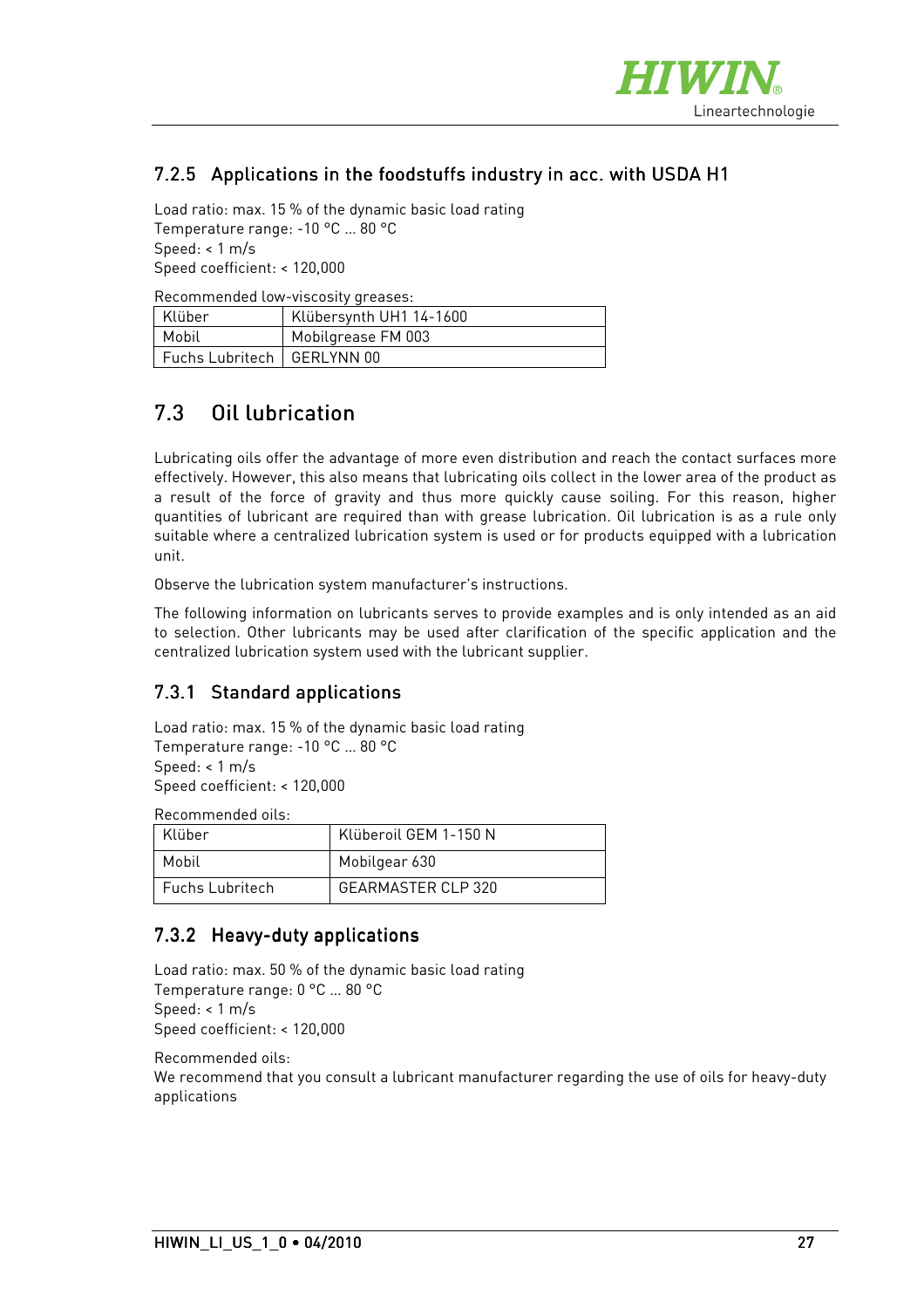

### 7.2.5 Applications in the foodstuffs industry in acc. with USDA H1

Load ratio: max. 15 % of the dynamic basic load rating Temperature range: -10 °C … 80 °C Speed: < 1 m/s Speed coefficient: < 120,000

Recommended low-viscosity greases:

| Klüber                       | Klübersynth UH1 14-1600 |
|------------------------------|-------------------------|
| Mobil                        | Mobilgrease FM 003      |
| Fuchs Lubritech   GERLYNN 00 |                         |

# 7.3 Oil lubrication

Lubricating oils offer the advantage of more even distribution and reach the contact surfaces more effectively. However, this also means that lubricating oils collect in the lower area of the product as a result of the force of gravity and thus more quickly cause soiling. For this reason, higher quantities of lubricant are required than with grease lubrication. Oil lubrication is as a rule only suitable where a centralized lubrication system is used or for products equipped with a lubrication unit.

Observe the lubrication system manufacturer's instructions.

The following information on lubricants serves to provide examples and is only intended as an aid to selection. Other lubricants may be used after clarification of the specific application and the centralized lubrication system used with the lubricant supplier.

#### 7.3.1 Standard applications

Load ratio: max. 15 % of the dynamic basic load rating Temperature range: -10 °C … 80 °C Speed:  $< 1$  m/s Speed coefficient: < 120,000

Recommended oils:

| Klüber                 | Klüberoil GEM 1-150 N |
|------------------------|-----------------------|
| Mobil                  | Mobilgear 630         |
| <b>Fuchs Lubritech</b> | GFARMASTER CLP 320    |

#### 7.3.2 Heavy-duty applications

```
Load ratio: max. 50 % of the dynamic basic load rating 
Temperature range: 0 °C … 80 °C 
Speed: < 1 m/s 
Speed coefficient: < 120,000
```
Recommended oils:

We recommend that you consult a lubricant manufacturer regarding the use of oils for heavy-duty applications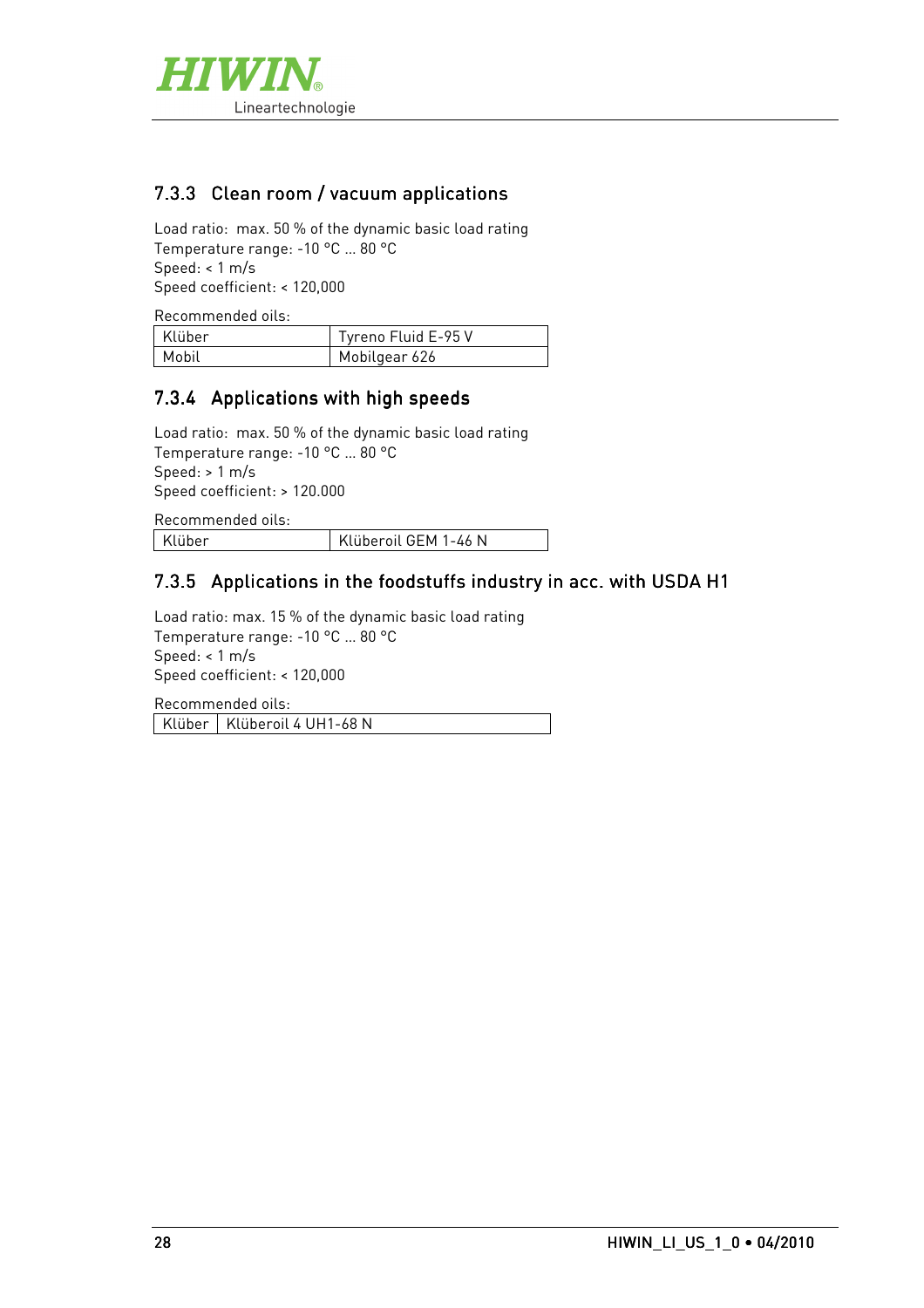

#### 7.3.3 Clean room / vacuum applications

Load ratio: max. 50 % of the dynamic basic load rating Temperature range: -10 °C … 80 °C Speed: < 1 m/s Speed coefficient: < 120,000

Recommended oils: Klüber | Tyreno Fluid E-95 V Mobil Mobilgear 626

#### 7.3.4 Applications with high speeds

Load ratio: max. 50 % of the dynamic basic load rating Temperature range: -10 °C … 80 °C Speed: > 1 m/s Speed coefficient: > 120.000

Recommended oils:

Klüber | Klüberoil GEM 1-46 N

#### 7.3.5 Applications in the foodstuffs industry in acc. with USDA H1

Load ratio: max. 15 % of the dynamic basic load rating Temperature range: -10 °C … 80 °C Speed: < 1 m/s Speed coefficient: < 120,000

Recommended oils: Klüber | Klüberoil 4 UH1-68 N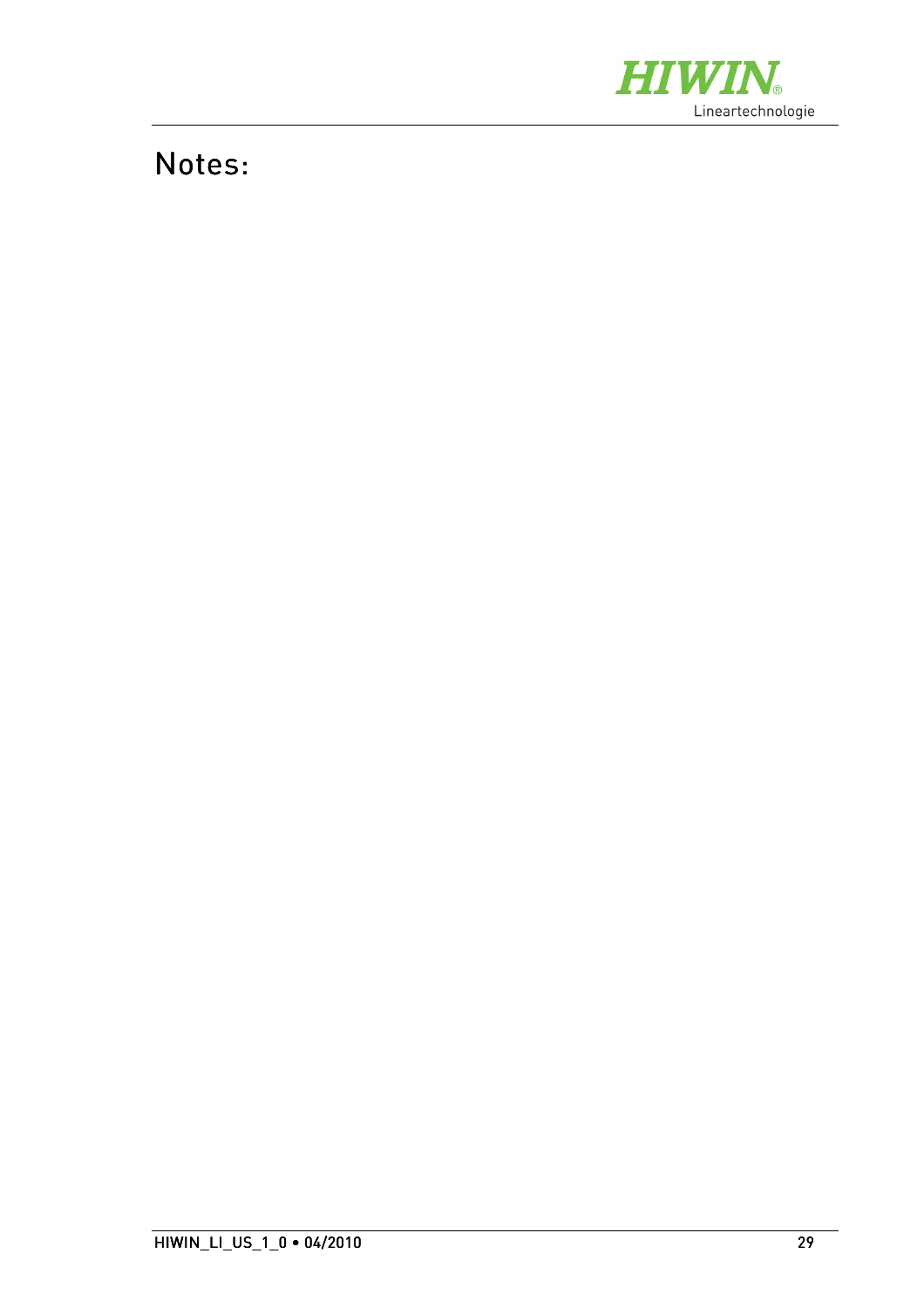

# Notes: